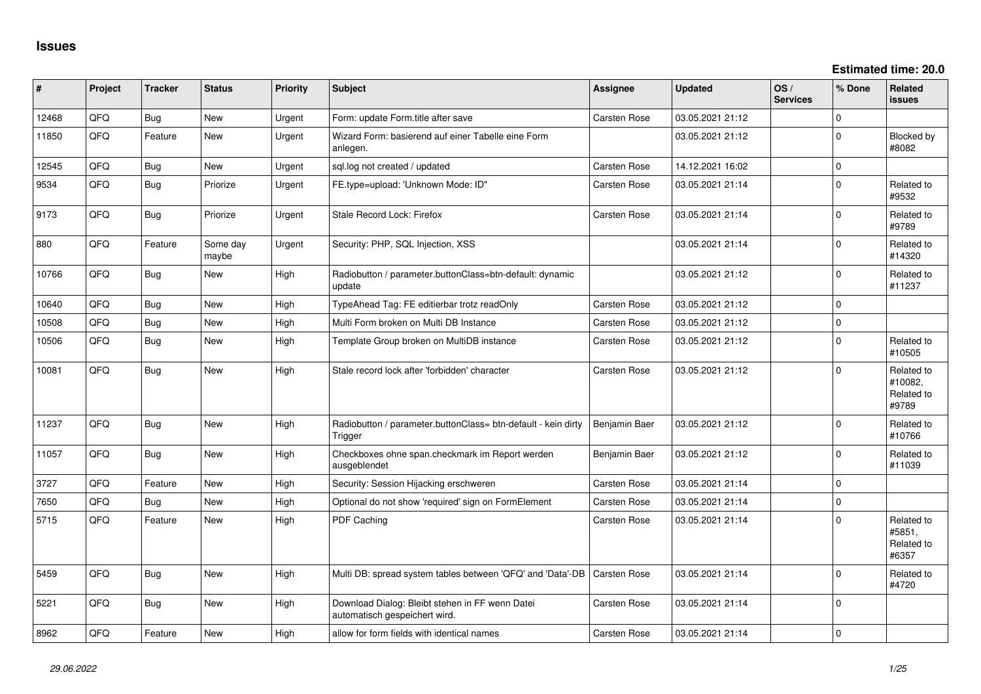| #     | Project | <b>Tracker</b> | <b>Status</b>     | <b>Priority</b> | <b>Subject</b>                                                                   | Assignee            | <b>Updated</b>   | OS/<br><b>Services</b> | % Done         | Related<br><b>issues</b>                     |
|-------|---------|----------------|-------------------|-----------------|----------------------------------------------------------------------------------|---------------------|------------------|------------------------|----------------|----------------------------------------------|
| 12468 | QFQ     | <b>Bug</b>     | New               | Urgent          | Form: update Form.title after save                                               | Carsten Rose        | 03.05.2021 21:12 |                        | $\mathbf 0$    |                                              |
| 11850 | QFQ     | Feature        | <b>New</b>        | Urgent          | Wizard Form: basierend auf einer Tabelle eine Form<br>anlegen.                   |                     | 03.05.2021 21:12 |                        | $\Omega$       | Blocked by<br>#8082                          |
| 12545 | QFQ     | <b>Bug</b>     | New               | Urgent          | sql.log not created / updated                                                    | Carsten Rose        | 14.12.2021 16:02 |                        | $\overline{0}$ |                                              |
| 9534  | QFQ     | Bug            | Priorize          | Urgent          | FE.type=upload: 'Unknown Mode: ID"                                               | Carsten Rose        | 03.05.2021 21:14 |                        | $\mathbf 0$    | Related to<br>#9532                          |
| 9173  | QFQ     | <b>Bug</b>     | Priorize          | Urgent          | Stale Record Lock: Firefox                                                       | Carsten Rose        | 03.05.2021 21:14 |                        | $\overline{0}$ | Related to<br>#9789                          |
| 880   | QFQ     | Feature        | Some day<br>maybe | Urgent          | Security: PHP, SQL Injection, XSS                                                |                     | 03.05.2021 21:14 |                        | $\Omega$       | Related to<br>#14320                         |
| 10766 | QFQ     | <b>Bug</b>     | <b>New</b>        | High            | Radiobutton / parameter.buttonClass=btn-default: dynamic<br>update               |                     | 03.05.2021 21:12 |                        | $\Omega$       | Related to<br>#11237                         |
| 10640 | QFQ     | Bug            | <b>New</b>        | High            | TypeAhead Tag: FE editierbar trotz readOnly                                      | <b>Carsten Rose</b> | 03.05.2021 21:12 |                        | 0              |                                              |
| 10508 | QFQ     | <b>Bug</b>     | <b>New</b>        | High            | Multi Form broken on Multi DB Instance                                           | <b>Carsten Rose</b> | 03.05.2021 21:12 |                        | $\mathbf 0$    |                                              |
| 10506 | QFQ     | <b>Bug</b>     | <b>New</b>        | High            | Template Group broken on MultiDB instance                                        | Carsten Rose        | 03.05.2021 21:12 |                        | $\mathbf{0}$   | Related to<br>#10505                         |
| 10081 | QFQ     | <b>Bug</b>     | <b>New</b>        | High            | Stale record lock after 'forbidden' character                                    | Carsten Rose        | 03.05.2021 21:12 |                        | $\Omega$       | Related to<br>#10082,<br>Related to<br>#9789 |
| 11237 | QFQ     | <b>Bug</b>     | New               | High            | Radiobutton / parameter.buttonClass= btn-default - kein dirty<br>Trigger         | Benjamin Baer       | 03.05.2021 21:12 |                        | 0              | Related to<br>#10766                         |
| 11057 | QFQ     | <b>Bug</b>     | New               | High            | Checkboxes ohne span.checkmark im Report werden<br>ausgeblendet                  | Benjamin Baer       | 03.05.2021 21:12 |                        | 0              | Related to<br>#11039                         |
| 3727  | QFQ     | Feature        | New               | High            | Security: Session Hijacking erschweren                                           | Carsten Rose        | 03.05.2021 21:14 |                        | 0              |                                              |
| 7650  | QFQ     | Bug            | New               | High            | Optional do not show 'required' sign on FormElement                              | Carsten Rose        | 03.05.2021 21:14 |                        | $\mathbf 0$    |                                              |
| 5715  | QFQ     | Feature        | <b>New</b>        | High            | PDF Caching                                                                      | Carsten Rose        | 03.05.2021 21:14 |                        | $\Omega$       | Related to<br>#5851,<br>Related to<br>#6357  |
| 5459  | QFQ     | <b>Bug</b>     | <b>New</b>        | High            | Multi DB: spread system tables between 'QFQ' and 'Data'-DB                       | Carsten Rose        | 03.05.2021 21:14 |                        | $\Omega$       | Related to<br>#4720                          |
| 5221  | QFQ     | <b>Bug</b>     | New               | High            | Download Dialog: Bleibt stehen in FF wenn Datei<br>automatisch gespeichert wird. | Carsten Rose        | 03.05.2021 21:14 |                        | 0              |                                              |
| 8962  | QFQ     | Feature        | <b>New</b>        | High            | allow for form fields with identical names                                       | <b>Carsten Rose</b> | 03.05.2021 21:14 |                        | 0              |                                              |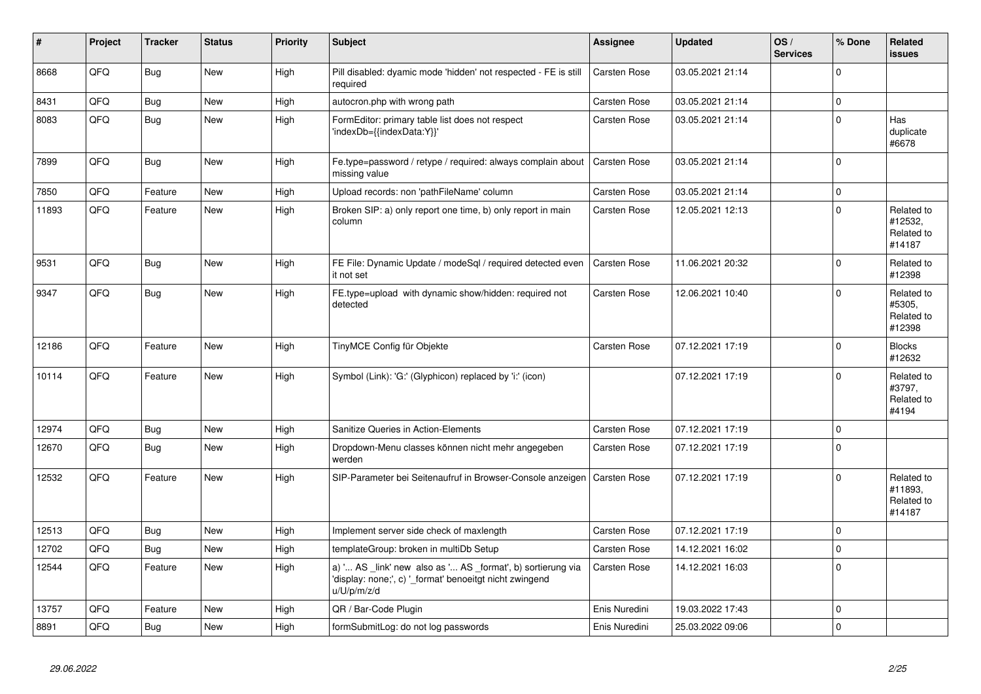| #     | Project | <b>Tracker</b> | <b>Status</b> | <b>Priority</b> | <b>Subject</b>                                                                                                                        | <b>Assignee</b>     | <b>Updated</b>   | OS/<br><b>Services</b> | % Done         | Related<br><b>issues</b>                      |
|-------|---------|----------------|---------------|-----------------|---------------------------------------------------------------------------------------------------------------------------------------|---------------------|------------------|------------------------|----------------|-----------------------------------------------|
| 8668  | QFQ     | <b>Bug</b>     | <b>New</b>    | High            | Pill disabled: dyamic mode 'hidden' not respected - FE is still<br>required                                                           | <b>Carsten Rose</b> | 03.05.2021 21:14 |                        | 0              |                                               |
| 8431  | QFQ     | Bug            | New           | High            | autocron.php with wrong path                                                                                                          | Carsten Rose        | 03.05.2021 21:14 |                        | $\overline{0}$ |                                               |
| 8083  | QFQ     | <b>Bug</b>     | <b>New</b>    | High            | FormEditor: primary table list does not respect<br>'indexDb={{indexData:Y}}'                                                          | Carsten Rose        | 03.05.2021 21:14 |                        | $\overline{0}$ | Has<br>duplicate<br>#6678                     |
| 7899  | QFQ     | Bug            | <b>New</b>    | High            | Fe.type=password / retype / required: always complain about<br>missing value                                                          | <b>Carsten Rose</b> | 03.05.2021 21:14 |                        | $\overline{0}$ |                                               |
| 7850  | QFQ     | Feature        | <b>New</b>    | High            | Upload records: non 'pathFileName' column                                                                                             | Carsten Rose        | 03.05.2021 21:14 |                        | $\overline{0}$ |                                               |
| 11893 | QFQ     | Feature        | New           | High            | Broken SIP: a) only report one time, b) only report in main<br>column                                                                 | Carsten Rose        | 12.05.2021 12:13 |                        | $\overline{0}$ | Related to<br>#12532,<br>Related to<br>#14187 |
| 9531  | QFQ     | Bug            | <b>New</b>    | High            | FE File: Dynamic Update / modeSql / required detected even<br>it not set                                                              | <b>Carsten Rose</b> | 11.06.2021 20:32 |                        | 0              | Related to<br>#12398                          |
| 9347  | QFQ     | Bug            | <b>New</b>    | High            | FE.type=upload with dynamic show/hidden: required not<br>detected                                                                     | Carsten Rose        | 12.06.2021 10:40 |                        | $\mathbf 0$    | Related to<br>#5305,<br>Related to<br>#12398  |
| 12186 | QFQ     | Feature        | <b>New</b>    | High            | TinyMCE Config für Objekte                                                                                                            | Carsten Rose        | 07.12.2021 17:19 |                        | 0              | <b>Blocks</b><br>#12632                       |
| 10114 | QFQ     | Feature        | <b>New</b>    | High            | Symbol (Link): 'G:' (Glyphicon) replaced by 'i:' (icon)                                                                               |                     | 07.12.2021 17:19 |                        | $\overline{0}$ | Related to<br>#3797,<br>Related to<br>#4194   |
| 12974 | QFQ     | <b>Bug</b>     | <b>New</b>    | High            | Sanitize Queries in Action-Elements                                                                                                   | Carsten Rose        | 07.12.2021 17:19 |                        | 0              |                                               |
| 12670 | QFQ     | Bug            | <b>New</b>    | High            | Dropdown-Menu classes können nicht mehr angegeben<br>werden                                                                           | Carsten Rose        | 07.12.2021 17:19 |                        | $\overline{0}$ |                                               |
| 12532 | QFQ     | Feature        | New           | High            | SIP-Parameter bei Seitenaufruf in Browser-Console anzeigen   Carsten Rose                                                             |                     | 07.12.2021 17:19 |                        | $\Omega$       | Related to<br>#11893,<br>Related to<br>#14187 |
| 12513 | QFQ     | <b>Bug</b>     | <b>New</b>    | High            | Implement server side check of maxlength                                                                                              | Carsten Rose        | 07.12.2021 17:19 |                        | $\overline{0}$ |                                               |
| 12702 | QFQ     | Bug            | <b>New</b>    | High            | templateGroup: broken in multiDb Setup                                                                                                | Carsten Rose        | 14.12.2021 16:02 |                        | $\overline{0}$ |                                               |
| 12544 | QFQ     | Feature        | <b>New</b>    | High            | a) ' AS _link' new also as ' AS _format', b) sortierung via<br>'display: none;', c) ' format' benoeitgt nicht zwingend<br>u/U/p/m/z/d | Carsten Rose        | 14.12.2021 16:03 |                        | $\overline{0}$ |                                               |
| 13757 | QFQ     | Feature        | <b>New</b>    | High            | QR / Bar-Code Plugin                                                                                                                  | Enis Nuredini       | 19.03.2022 17:43 |                        | 0              |                                               |
| 8891  | QFQ     | Bug            | New           | High            | formSubmitLog: do not log passwords                                                                                                   | Enis Nuredini       | 25.03.2022 09:06 |                        | $\overline{0}$ |                                               |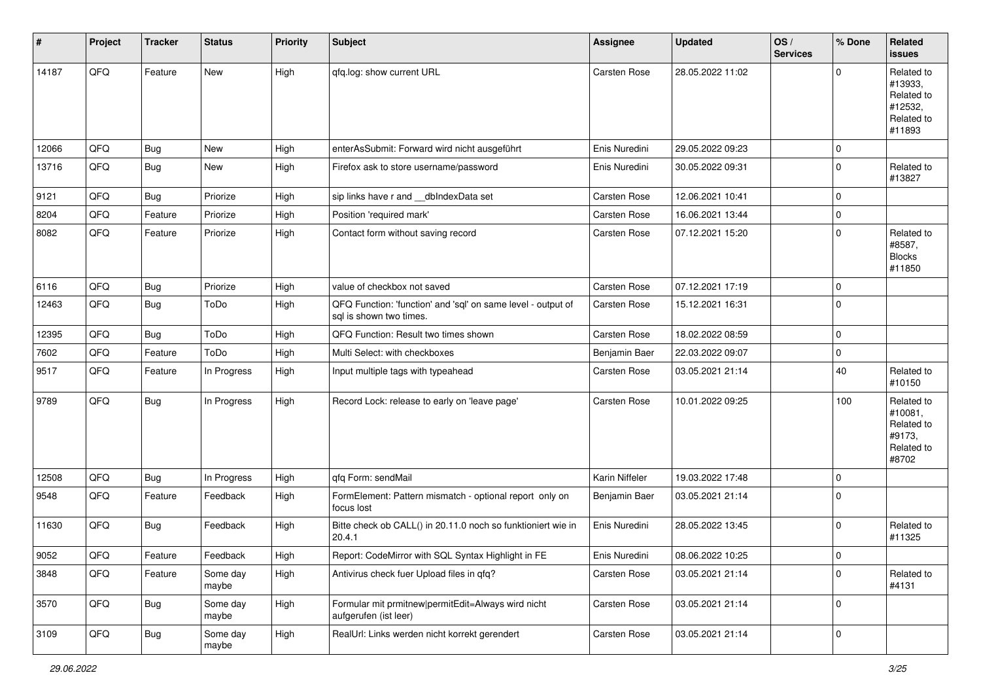| #     | Project | <b>Tracker</b> | <b>Status</b>     | <b>Priority</b> | <b>Subject</b>                                                                          | Assignee            | <b>Updated</b>   | OS/<br><b>Services</b> | % Done      | Related<br>issues                                                      |
|-------|---------|----------------|-------------------|-----------------|-----------------------------------------------------------------------------------------|---------------------|------------------|------------------------|-------------|------------------------------------------------------------------------|
| 14187 | QFQ     | Feature        | <b>New</b>        | High            | qfq.log: show current URL                                                               | Carsten Rose        | 28.05.2022 11:02 |                        | $\Omega$    | Related to<br>#13933,<br>Related to<br>#12532,<br>Related to<br>#11893 |
| 12066 | QFQ     | Bug            | <b>New</b>        | High            | enterAsSubmit: Forward wird nicht ausgeführt                                            | Enis Nuredini       | 29.05.2022 09:23 |                        | $\mathbf 0$ |                                                                        |
| 13716 | QFQ     | <b>Bug</b>     | <b>New</b>        | High            | Firefox ask to store username/password                                                  | Enis Nuredini       | 30.05.2022 09:31 |                        | $\mathbf 0$ | Related to<br>#13827                                                   |
| 9121  | QFQ     | Bug            | Priorize          | High            | sip links have r and __dbIndexData set                                                  | <b>Carsten Rose</b> | 12.06.2021 10:41 |                        | $\mathbf 0$ |                                                                        |
| 8204  | QFQ     | Feature        | Priorize          | High            | Position 'required mark'                                                                | Carsten Rose        | 16.06.2021 13:44 |                        | $\mathbf 0$ |                                                                        |
| 8082  | QFQ     | Feature        | Priorize          | High            | Contact form without saving record                                                      | Carsten Rose        | 07.12.2021 15:20 |                        | $\Omega$    | Related to<br>#8587,<br><b>Blocks</b><br>#11850                        |
| 6116  | QFQ     | Bug            | Priorize          | High            | value of checkbox not saved                                                             | <b>Carsten Rose</b> | 07.12.2021 17:19 |                        | $\mathbf 0$ |                                                                        |
| 12463 | QFQ     | Bug            | ToDo              | High            | QFQ Function: 'function' and 'sql' on same level - output of<br>sal is shown two times. | <b>Carsten Rose</b> | 15.12.2021 16:31 |                        | $\mathbf 0$ |                                                                        |
| 12395 | QFQ     | Bug            | ToDo              | High            | QFQ Function: Result two times shown                                                    | <b>Carsten Rose</b> | 18.02.2022 08:59 |                        | $\mathbf 0$ |                                                                        |
| 7602  | QFQ     | Feature        | ToDo              | High            | Multi Select: with checkboxes                                                           | Benjamin Baer       | 22.03.2022 09:07 |                        | $\mathbf 0$ |                                                                        |
| 9517  | QFQ     | Feature        | In Progress       | High            | Input multiple tags with typeahead                                                      | Carsten Rose        | 03.05.2021 21:14 |                        | 40          | Related to<br>#10150                                                   |
| 9789  | QFQ     | <b>Bug</b>     | In Progress       | High            | Record Lock: release to early on 'leave page'                                           | Carsten Rose        | 10.01.2022 09:25 |                        | 100         | Related to<br>#10081,<br>Related to<br>#9173.<br>Related to<br>#8702   |
| 12508 | QFQ     | Bug            | In Progress       | High            | qfq Form: sendMail                                                                      | Karin Niffeler      | 19.03.2022 17:48 |                        | $\mathbf 0$ |                                                                        |
| 9548  | QFQ     | Feature        | Feedback          | High            | FormElement: Pattern mismatch - optional report only on<br>focus lost                   | Benjamin Baer       | 03.05.2021 21:14 |                        | $\Omega$    |                                                                        |
| 11630 | QFQ     | Bug            | Feedback          | High            | Bitte check ob CALL() in 20.11.0 noch so funktioniert wie in<br>20.4.1                  | Enis Nuredini       | 28.05.2022 13:45 |                        | $\Omega$    | Related to<br>#11325                                                   |
| 9052  | QFQ     | Feature        | Feedback          | High            | Report: CodeMirror with SQL Syntax Highlight in FE                                      | Enis Nuredini       | 08.06.2022 10:25 |                        | $\mathbf 0$ |                                                                        |
| 3848  | QFQ     | Feature        | Some day<br>maybe | High            | Antivirus check fuer Upload files in qfq?                                               | Carsten Rose        | 03.05.2021 21:14 |                        | $\Omega$    | Related to<br>#4131                                                    |
| 3570  | QFQ     | <b>Bug</b>     | Some day<br>maybe | High            | Formular mit prmitnew permitEdit=Always wird nicht<br>aufgerufen (ist leer)             | Carsten Rose        | 03.05.2021 21:14 |                        | $\mathbf 0$ |                                                                        |
| 3109  | QFQ     | <b>Bug</b>     | Some day<br>maybe | High            | RealUrl: Links werden nicht korrekt gerendert                                           | Carsten Rose        | 03.05.2021 21:14 |                        | $\mathbf 0$ |                                                                        |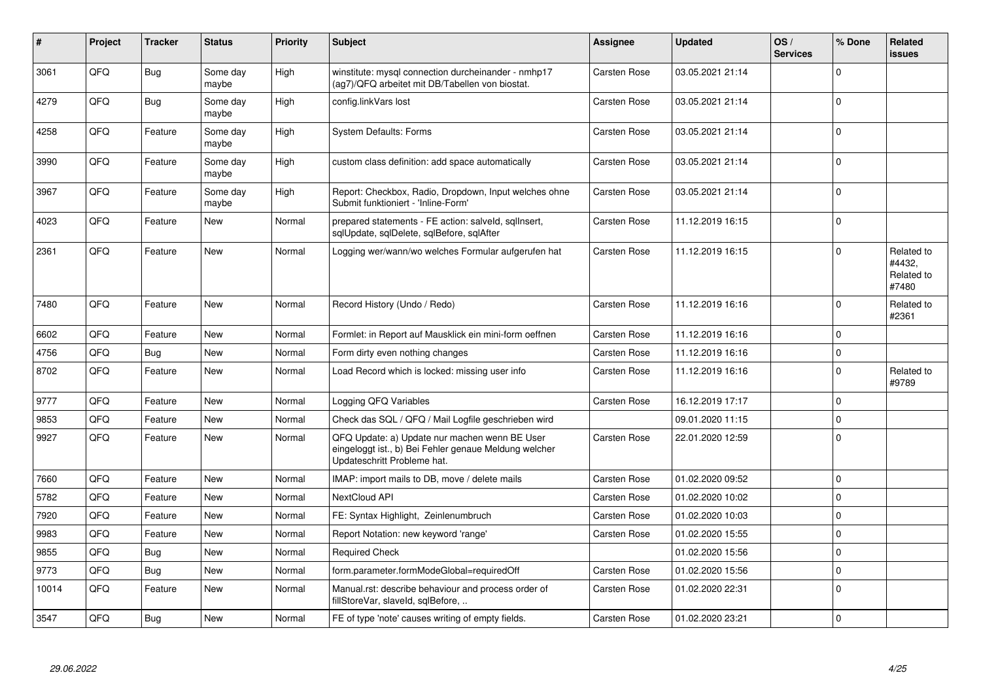| ∦     | Project | <b>Tracker</b> | <b>Status</b>     | <b>Priority</b> | <b>Subject</b>                                                                                                                        | <b>Assignee</b> | <b>Updated</b>   | OS/<br><b>Services</b> | % Done   | Related<br>issues                           |
|-------|---------|----------------|-------------------|-----------------|---------------------------------------------------------------------------------------------------------------------------------------|-----------------|------------------|------------------------|----------|---------------------------------------------|
| 3061  | QFQ     | Bug            | Some day<br>maybe | High            | winstitute: mysql connection durcheinander - nmhp17<br>(ag7)/QFQ arbeitet mit DB/Tabellen von biostat.                                | Carsten Rose    | 03.05.2021 21:14 |                        | $\Omega$ |                                             |
| 4279  | QFQ     | Bug            | Some day<br>maybe | High            | config.linkVars lost                                                                                                                  | Carsten Rose    | 03.05.2021 21:14 |                        | $\Omega$ |                                             |
| 4258  | QFQ     | Feature        | Some day<br>maybe | High            | System Defaults: Forms                                                                                                                | Carsten Rose    | 03.05.2021 21:14 |                        | $\Omega$ |                                             |
| 3990  | QFQ     | Feature        | Some day<br>maybe | High            | custom class definition: add space automatically                                                                                      | Carsten Rose    | 03.05.2021 21:14 |                        | $\Omega$ |                                             |
| 3967  | QFQ     | Feature        | Some day<br>maybe | High            | Report: Checkbox, Radio, Dropdown, Input welches ohne<br>Submit funktioniert - 'Inline-Form'                                          | Carsten Rose    | 03.05.2021 21:14 |                        | $\Omega$ |                                             |
| 4023  | QFQ     | Feature        | <b>New</b>        | Normal          | prepared statements - FE action: salveld, sqllnsert,<br>sqlUpdate, sqlDelete, sqlBefore, sqlAfter                                     | Carsten Rose    | 11.12.2019 16:15 |                        | $\Omega$ |                                             |
| 2361  | QFQ     | Feature        | <b>New</b>        | Normal          | Logging wer/wann/wo welches Formular aufgerufen hat                                                                                   | Carsten Rose    | 11.12.2019 16:15 |                        | $\Omega$ | Related to<br>#4432,<br>Related to<br>#7480 |
| 7480  | QFQ     | Feature        | <b>New</b>        | Normal          | Record History (Undo / Redo)                                                                                                          | Carsten Rose    | 11.12.2019 16:16 |                        | $\Omega$ | Related to<br>#2361                         |
| 6602  | QFQ     | Feature        | <b>New</b>        | Normal          | Formlet: in Report auf Mausklick ein mini-form oeffnen                                                                                | Carsten Rose    | 11.12.2019 16:16 |                        | $\Omega$ |                                             |
| 4756  | QFQ     | Bug            | <b>New</b>        | Normal          | Form dirty even nothing changes                                                                                                       | Carsten Rose    | 11.12.2019 16:16 |                        | $\Omega$ |                                             |
| 8702  | QFQ     | Feature        | <b>New</b>        | Normal          | Load Record which is locked: missing user info                                                                                        | Carsten Rose    | 11.12.2019 16:16 |                        | $\Omega$ | Related to<br>#9789                         |
| 9777  | QFQ     | Feature        | <b>New</b>        | Normal          | Logging QFQ Variables                                                                                                                 | Carsten Rose    | 16.12.2019 17:17 |                        | $\Omega$ |                                             |
| 9853  | QFQ     | Feature        | <b>New</b>        | Normal          | Check das SQL / QFQ / Mail Logfile geschrieben wird                                                                                   |                 | 09.01.2020 11:15 |                        | $\Omega$ |                                             |
| 9927  | QFQ     | Feature        | <b>New</b>        | Normal          | QFQ Update: a) Update nur machen wenn BE User<br>eingeloggt ist., b) Bei Fehler genaue Meldung welcher<br>Updateschritt Probleme hat. | Carsten Rose    | 22.01.2020 12:59 |                        | $\Omega$ |                                             |
| 7660  | QFQ     | Feature        | <b>New</b>        | Normal          | IMAP: import mails to DB, move / delete mails                                                                                         | Carsten Rose    | 01.02.2020 09:52 |                        | $\Omega$ |                                             |
| 5782  | QFQ     | Feature        | <b>New</b>        | Normal          | <b>NextCloud API</b>                                                                                                                  | Carsten Rose    | 01.02.2020 10:02 |                        | $\Omega$ |                                             |
| 7920  | QFQ     | Feature        | <b>New</b>        | Normal          | FE: Syntax Highlight, Zeinlenumbruch                                                                                                  | Carsten Rose    | 01.02.2020 10:03 |                        | $\Omega$ |                                             |
| 9983  | QFQ     | Feature        | <b>New</b>        | Normal          | Report Notation: new keyword 'range'                                                                                                  | Carsten Rose    | 01.02.2020 15:55 |                        | $\Omega$ |                                             |
| 9855  | QFQ     | Bug            | <b>New</b>        | Normal          | <b>Required Check</b>                                                                                                                 |                 | 01.02.2020 15:56 |                        | 0        |                                             |
| 9773  | QFQ     | Bug            | <b>New</b>        | Normal          | form.parameter.formModeGlobal=requiredOff                                                                                             | Carsten Rose    | 01.02.2020 15:56 |                        | $\Omega$ |                                             |
| 10014 | QFQ     | Feature        | <b>New</b>        | Normal          | Manual.rst: describe behaviour and process order of<br>fillStoreVar, slaveld, sqlBefore,                                              | Carsten Rose    | 01.02.2020 22:31 |                        | $\Omega$ |                                             |
| 3547  | QFQ     | Bug            | <b>New</b>        | Normal          | FE of type 'note' causes writing of empty fields.                                                                                     | Carsten Rose    | 01.02.2020 23:21 |                        | $\Omega$ |                                             |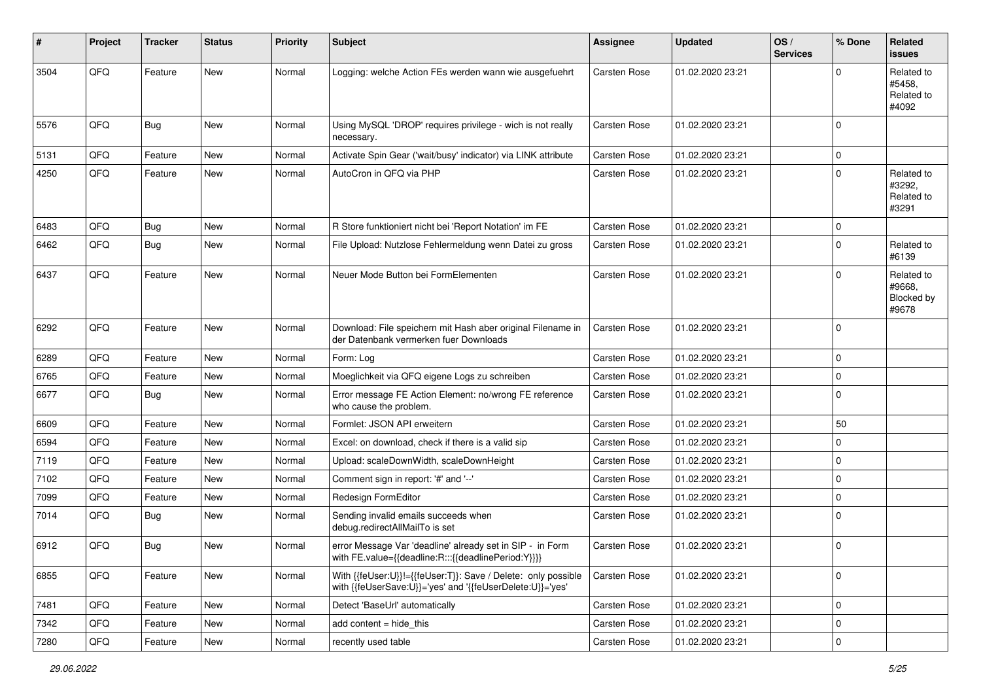| ∦    | Project        | <b>Tracker</b> | <b>Status</b> | <b>Priority</b> | <b>Subject</b>                                                                                                             | <b>Assignee</b>     | <b>Updated</b>   | OS/<br><b>Services</b> | % Done       | <b>Related</b><br><b>issues</b>             |
|------|----------------|----------------|---------------|-----------------|----------------------------------------------------------------------------------------------------------------------------|---------------------|------------------|------------------------|--------------|---------------------------------------------|
| 3504 | QFQ            | Feature        | <b>New</b>    | Normal          | Logging: welche Action FEs werden wann wie ausgefuehrt                                                                     | <b>Carsten Rose</b> | 01.02.2020 23:21 |                        | $\Omega$     | Related to<br>#5458.<br>Related to<br>#4092 |
| 5576 | QFQ            | <b>Bug</b>     | <b>New</b>    | Normal          | Using MySQL 'DROP' requires privilege - wich is not really<br>necessary.                                                   | Carsten Rose        | 01.02.2020 23:21 |                        | $\mathbf{0}$ |                                             |
| 5131 | QFQ            | Feature        | <b>New</b>    | Normal          | Activate Spin Gear ('wait/busy' indicator) via LINK attribute                                                              | <b>Carsten Rose</b> | 01.02.2020 23:21 |                        | $\mathbf 0$  |                                             |
| 4250 | QFQ            | Feature        | New           | Normal          | AutoCron in QFQ via PHP                                                                                                    | Carsten Rose        | 01.02.2020 23:21 |                        | $\mathbf 0$  | Related to<br>#3292,<br>Related to<br>#3291 |
| 6483 | QFQ            | <b>Bug</b>     | <b>New</b>    | Normal          | R Store funktioniert nicht bei 'Report Notation' im FE                                                                     | Carsten Rose        | 01.02.2020 23:21 |                        | $\mathbf 0$  |                                             |
| 6462 | QFQ            | Bug            | <b>New</b>    | Normal          | File Upload: Nutzlose Fehlermeldung wenn Datei zu gross                                                                    | Carsten Rose        | 01.02.2020 23:21 |                        | $\mathbf 0$  | Related to<br>#6139                         |
| 6437 | QFQ            | Feature        | New           | Normal          | Neuer Mode Button bei FormElementen                                                                                        | Carsten Rose        | 01.02.2020 23:21 |                        | $\mathbf 0$  | Related to<br>#9668.<br>Blocked by<br>#9678 |
| 6292 | QFQ            | Feature        | <b>New</b>    | Normal          | Download: File speichern mit Hash aber original Filename in<br>der Datenbank vermerken fuer Downloads                      | Carsten Rose        | 01.02.2020 23:21 |                        | $\mathbf 0$  |                                             |
| 6289 | QFQ            | Feature        | <b>New</b>    | Normal          | Form: Log                                                                                                                  | Carsten Rose        | 01.02.2020 23:21 |                        | $\mathbf 0$  |                                             |
| 6765 | QFQ            | Feature        | New           | Normal          | Moeglichkeit via QFQ eigene Logs zu schreiben                                                                              | Carsten Rose        | 01.02.2020 23:21 |                        | $\mathbf 0$  |                                             |
| 6677 | QFQ            | Bug            | <b>New</b>    | Normal          | Error message FE Action Element: no/wrong FE reference<br>who cause the problem.                                           | Carsten Rose        | 01.02.2020 23:21 |                        | $\mathbf 0$  |                                             |
| 6609 | QFQ            | Feature        | New           | Normal          | Formlet: JSON API erweitern                                                                                                | Carsten Rose        | 01.02.2020 23:21 |                        | 50           |                                             |
| 6594 | QFQ            | Feature        | <b>New</b>    | Normal          | Excel: on download, check if there is a valid sip                                                                          | Carsten Rose        | 01.02.2020 23:21 |                        | $\mathbf 0$  |                                             |
| 7119 | QFQ            | Feature        | New           | Normal          | Upload: scaleDownWidth, scaleDownHeight                                                                                    | Carsten Rose        | 01.02.2020 23:21 |                        | $\mathbf 0$  |                                             |
| 7102 | QFQ            | Feature        | New           | Normal          | Comment sign in report: '#' and '--'                                                                                       | Carsten Rose        | 01.02.2020 23:21 |                        | $\mathbf 0$  |                                             |
| 7099 | QFQ            | Feature        | New           | Normal          | Redesign FormEditor                                                                                                        | Carsten Rose        | 01.02.2020 23:21 |                        | $\mathbf 0$  |                                             |
| 7014 | QFQ            | <b>Bug</b>     | New           | Normal          | Sending invalid emails succeeds when<br>debug.redirectAllMailTo is set                                                     | Carsten Rose        | 01.02.2020 23:21 |                        | $\mathbf 0$  |                                             |
| 6912 | QFQ            | Bug            | <b>New</b>    | Normal          | error Message Var 'deadline' already set in SIP - in Form<br>with FE.value={{deadline:R:::{{deadlinePeriod:Y}}}}           | Carsten Rose        | 01.02.2020 23:21 |                        | $\mathbf 0$  |                                             |
| 6855 | QFQ            | Feature        | <b>New</b>    | Normal          | With {{feUser:U}}!={{feUser:T}}: Save / Delete: only possible<br>with {{feUserSave:U}}='yes' and '{{feUserDelete:U}}='yes' | <b>Carsten Rose</b> | 01.02.2020 23:21 |                        | $\mathbf 0$  |                                             |
| 7481 | QFQ            | Feature        | New           | Normal          | Detect 'BaseUrl' automatically                                                                                             | Carsten Rose        | 01.02.2020 23:21 |                        | $\mathbf 0$  |                                             |
| 7342 | QFQ            | Feature        | New           | Normal          | add content = hide_this                                                                                                    | Carsten Rose        | 01.02.2020 23:21 |                        | 0            |                                             |
| 7280 | $\mathsf{QFQ}$ | Feature        | New           | Normal          | recently used table                                                                                                        | Carsten Rose        | 01.02.2020 23:21 |                        | $\pmb{0}$    |                                             |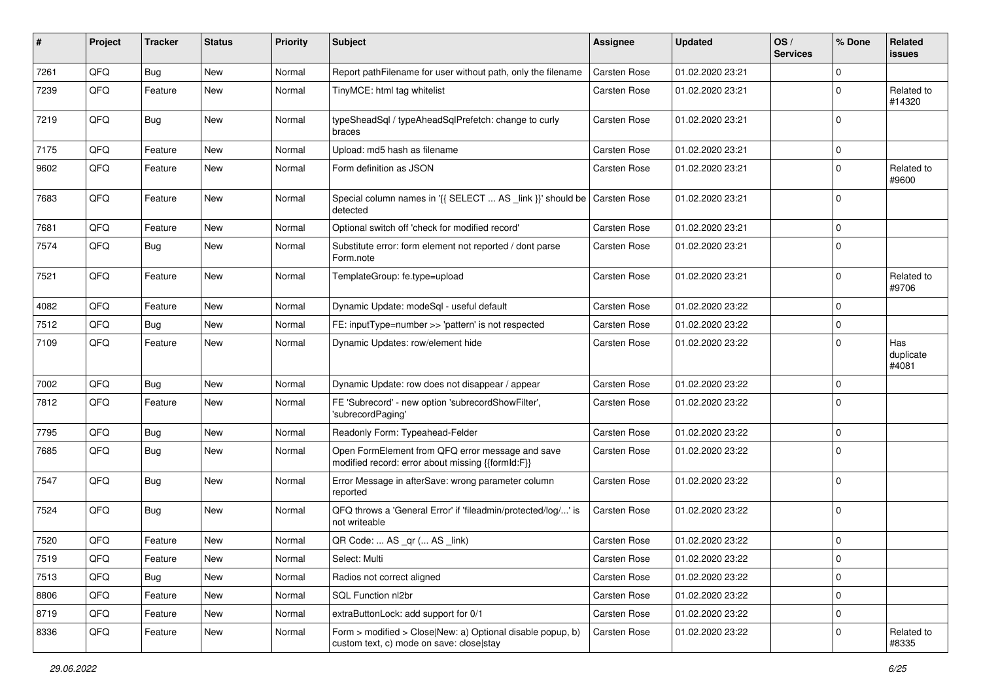| #    | Project | <b>Tracker</b> | <b>Status</b> | <b>Priority</b> | Subject                                                                                                | Assignee            | <b>Updated</b>   | OS/<br><b>Services</b> | % Done      | Related<br>issues         |
|------|---------|----------------|---------------|-----------------|--------------------------------------------------------------------------------------------------------|---------------------|------------------|------------------------|-------------|---------------------------|
| 7261 | QFQ     | Bug            | <b>New</b>    | Normal          | Report pathFilename for user without path, only the filename                                           | <b>Carsten Rose</b> | 01.02.2020 23:21 |                        | $\mathbf 0$ |                           |
| 7239 | QFQ     | Feature        | New           | Normal          | TinyMCE: html tag whitelist                                                                            | Carsten Rose        | 01.02.2020 23:21 |                        | $\mathbf 0$ | Related to<br>#14320      |
| 7219 | QFQ     | Bug            | New           | Normal          | typeSheadSql / typeAheadSqlPrefetch: change to curly<br>braces                                         | Carsten Rose        | 01.02.2020 23:21 |                        | $\mathbf 0$ |                           |
| 7175 | QFQ     | Feature        | <b>New</b>    | Normal          | Upload: md5 hash as filename                                                                           | Carsten Rose        | 01.02.2020 23:21 |                        | $\pmb{0}$   |                           |
| 9602 | QFQ     | Feature        | New           | Normal          | Form definition as JSON                                                                                | Carsten Rose        | 01.02.2020 23:21 |                        | $\mathbf 0$ | Related to<br>#9600       |
| 7683 | QFQ     | Feature        | New           | Normal          | Special column names in '{{ SELECT  AS _link }}' should be   Carsten Rose<br>detected                  |                     | 01.02.2020 23:21 |                        | $\mathbf 0$ |                           |
| 7681 | QFQ     | Feature        | <b>New</b>    | Normal          | Optional switch off 'check for modified record'                                                        | Carsten Rose        | 01.02.2020 23:21 |                        | $\mathbf 0$ |                           |
| 7574 | QFQ     | Bug            | <b>New</b>    | Normal          | Substitute error: form element not reported / dont parse<br>Form.note                                  | Carsten Rose        | 01.02.2020 23:21 |                        | $\mathbf 0$ |                           |
| 7521 | QFQ     | Feature        | <b>New</b>    | Normal          | TemplateGroup: fe.type=upload                                                                          | Carsten Rose        | 01.02.2020 23:21 |                        | $\mathbf 0$ | Related to<br>#9706       |
| 4082 | QFQ     | Feature        | <b>New</b>    | Normal          | Dynamic Update: modeSql - useful default                                                               | Carsten Rose        | 01.02.2020 23:22 |                        | $\mathbf 0$ |                           |
| 7512 | QFQ     | Bug            | <b>New</b>    | Normal          | FE: inputType=number >> 'pattern' is not respected                                                     | Carsten Rose        | 01.02.2020 23:22 |                        | $\mathbf 0$ |                           |
| 7109 | QFQ     | Feature        | <b>New</b>    | Normal          | Dynamic Updates: row/element hide                                                                      | Carsten Rose        | 01.02.2020 23:22 |                        | $\mathbf 0$ | Has<br>duplicate<br>#4081 |
| 7002 | QFQ     | Bug            | <b>New</b>    | Normal          | Dynamic Update: row does not disappear / appear                                                        | Carsten Rose        | 01.02.2020 23:22 |                        | $\mathbf 0$ |                           |
| 7812 | QFQ     | Feature        | <b>New</b>    | Normal          | FE 'Subrecord' - new option 'subrecordShowFilter',<br>'subrecordPaging'                                | Carsten Rose        | 01.02.2020 23:22 |                        | $\mathbf 0$ |                           |
| 7795 | QFQ     | Bug            | <b>New</b>    | Normal          | Readonly Form: Typeahead-Felder                                                                        | Carsten Rose        | 01.02.2020 23:22 |                        | $\mathbf 0$ |                           |
| 7685 | QFQ     | Bug            | <b>New</b>    | Normal          | Open FormElement from QFQ error message and save<br>modified record: error about missing {{formId:F}}  | Carsten Rose        | 01.02.2020 23:22 |                        | $\mathbf 0$ |                           |
| 7547 | QFQ     | Bug            | <b>New</b>    | Normal          | Error Message in afterSave: wrong parameter column<br>reported                                         | Carsten Rose        | 01.02.2020 23:22 |                        | $\mathbf 0$ |                           |
| 7524 | QFQ     | Bug            | <b>New</b>    | Normal          | QFQ throws a 'General Error' if 'fileadmin/protected/log/' is<br>not writeable                         | Carsten Rose        | 01.02.2020 23:22 |                        | $\mathbf 0$ |                           |
| 7520 | QFQ     | Feature        | <b>New</b>    | Normal          | QR Code:  AS _qr ( AS _link)                                                                           | Carsten Rose        | 01.02.2020 23:22 |                        | $\mathbf 0$ |                           |
| 7519 | QFQ     | Feature        | New           | Normal          | Select: Multi                                                                                          | Carsten Rose        | 01.02.2020 23:22 |                        | 0           |                           |
| 7513 | QFQ     | Bug            | New           | Normal          | Radios not correct aligned                                                                             | Carsten Rose        | 01.02.2020 23:22 |                        | $\mathbf 0$ |                           |
| 8806 | QFQ     | Feature        | New           | Normal          | SQL Function nl2br                                                                                     | Carsten Rose        | 01.02.2020 23:22 |                        | $\mathbf 0$ |                           |
| 8719 | QFO     | Feature        | New           | Normal          | extraButtonLock: add support for 0/1                                                                   | Carsten Rose        | 01.02.2020 23:22 |                        | $\mathbf 0$ |                           |
| 8336 | QFQ     | Feature        | New           | Normal          | Form > modified > Close New: a) Optional disable popup, b)<br>custom text, c) mode on save: close stay | Carsten Rose        | 01.02.2020 23:22 |                        | $\mathbf 0$ | Related to<br>#8335       |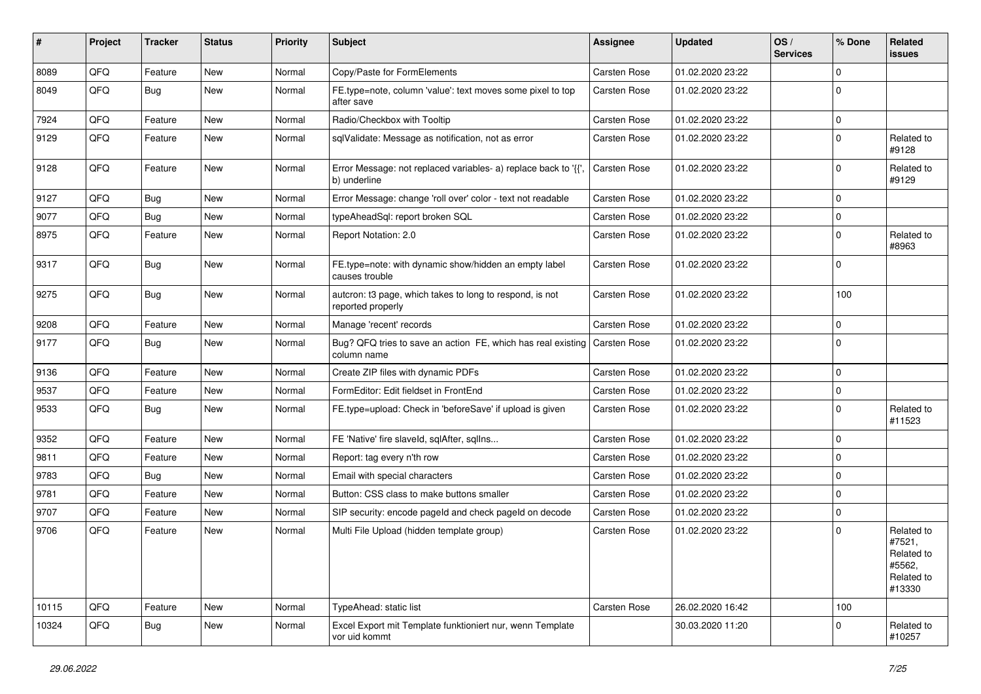| #     | Project | <b>Tracker</b> | <b>Status</b> | <b>Priority</b> | Subject                                                                        | <b>Assignee</b>     | <b>Updated</b>   | OS/<br><b>Services</b> | % Done      | Related<br>issues                                                    |
|-------|---------|----------------|---------------|-----------------|--------------------------------------------------------------------------------|---------------------|------------------|------------------------|-------------|----------------------------------------------------------------------|
| 8089  | QFQ     | Feature        | <b>New</b>    | Normal          | Copy/Paste for FormElements                                                    | Carsten Rose        | 01.02.2020 23:22 |                        | $\mathbf 0$ |                                                                      |
| 8049  | QFQ     | Bug            | <b>New</b>    | Normal          | FE.type=note, column 'value': text moves some pixel to top<br>after save       | Carsten Rose        | 01.02.2020 23:22 |                        | $\mathbf 0$ |                                                                      |
| 7924  | QFQ     | Feature        | <b>New</b>    | Normal          | Radio/Checkbox with Tooltip                                                    | Carsten Rose        | 01.02.2020 23:22 |                        | $\mathbf 0$ |                                                                      |
| 9129  | QFQ     | Feature        | New           | Normal          | sqlValidate: Message as notification, not as error                             | Carsten Rose        | 01.02.2020 23:22 |                        | $\mathbf 0$ | Related to<br>#9128                                                  |
| 9128  | QFQ     | Feature        | New           | Normal          | Error Message: not replaced variables- a) replace back to '{',<br>b) underline | Carsten Rose        | 01.02.2020 23:22 |                        | $\mathbf 0$ | Related to<br>#9129                                                  |
| 9127  | QFQ     | Bug            | <b>New</b>    | Normal          | Error Message: change 'roll over' color - text not readable                    | Carsten Rose        | 01.02.2020 23:22 |                        | $\mathbf 0$ |                                                                      |
| 9077  | QFQ     | Bug            | <b>New</b>    | Normal          | typeAheadSql: report broken SQL                                                | <b>Carsten Rose</b> | 01.02.2020 23:22 |                        | $\mathbf 0$ |                                                                      |
| 8975  | QFQ     | Feature        | <b>New</b>    | Normal          | Report Notation: 2.0                                                           | Carsten Rose        | 01.02.2020 23:22 |                        | $\mathbf 0$ | Related to<br>#8963                                                  |
| 9317  | QFQ     | Bug            | New           | Normal          | FE.type=note: with dynamic show/hidden an empty label<br>causes trouble        | Carsten Rose        | 01.02.2020 23:22 |                        | $\mathbf 0$ |                                                                      |
| 9275  | QFQ     | Bug            | New           | Normal          | autcron: t3 page, which takes to long to respond, is not<br>reported properly  | Carsten Rose        | 01.02.2020 23:22 |                        | 100         |                                                                      |
| 9208  | QFQ     | Feature        | <b>New</b>    | Normal          | Manage 'recent' records                                                        | Carsten Rose        | 01.02.2020 23:22 |                        | $\mathbf 0$ |                                                                      |
| 9177  | QFQ     | Bug            | <b>New</b>    | Normal          | Bug? QFQ tries to save an action FE, which has real existing<br>column name    | Carsten Rose        | 01.02.2020 23:22 |                        | $\mathbf 0$ |                                                                      |
| 9136  | QFQ     | Feature        | <b>New</b>    | Normal          | Create ZIP files with dynamic PDFs                                             | <b>Carsten Rose</b> | 01.02.2020 23:22 |                        | $\mathbf 0$ |                                                                      |
| 9537  | QFQ     | Feature        | <b>New</b>    | Normal          | FormEditor: Edit fieldset in FrontEnd                                          | <b>Carsten Rose</b> | 01.02.2020 23:22 |                        | $\mathbf 0$ |                                                                      |
| 9533  | QFQ     | Bug            | New           | Normal          | FE.type=upload: Check in 'beforeSave' if upload is given                       | Carsten Rose        | 01.02.2020 23:22 |                        | $\mathbf 0$ | Related to<br>#11523                                                 |
| 9352  | QFQ     | Feature        | <b>New</b>    | Normal          | FE 'Native' fire slaveld, sqlAfter, sqlIns                                     | Carsten Rose        | 01.02.2020 23:22 |                        | $\mathbf 0$ |                                                                      |
| 9811  | QFQ     | Feature        | <b>New</b>    | Normal          | Report: tag every n'th row                                                     | <b>Carsten Rose</b> | 01.02.2020 23:22 |                        | $\mathbf 0$ |                                                                      |
| 9783  | QFQ     | <b>Bug</b>     | New           | Normal          | Email with special characters                                                  | <b>Carsten Rose</b> | 01.02.2020 23:22 |                        | $\mathbf 0$ |                                                                      |
| 9781  | QFQ     | Feature        | <b>New</b>    | Normal          | Button: CSS class to make buttons smaller                                      | <b>Carsten Rose</b> | 01.02.2020 23:22 |                        | $\mathbf 0$ |                                                                      |
| 9707  | QFQ     | Feature        | New           | Normal          | SIP security: encode pageld and check pageld on decode                         | Carsten Rose        | 01.02.2020 23:22 |                        | $\mathbf 0$ |                                                                      |
| 9706  | QFQ     | Feature        | New           | Normal          | Multi File Upload (hidden template group)                                      | Carsten Rose        | 01.02.2020 23:22 |                        | $\Omega$    | Related to<br>#7521,<br>Related to<br>#5562,<br>Related to<br>#13330 |
| 10115 | QFQ     | Feature        | New           | Normal          | TypeAhead: static list                                                         | Carsten Rose        | 26.02.2020 16:42 |                        | 100         |                                                                      |
| 10324 | QFQ     | Bug            | New           | Normal          | Excel Export mit Template funktioniert nur, wenn Template<br>vor uid kommt     |                     | 30.03.2020 11:20 |                        | $\mathbf 0$ | Related to<br>#10257                                                 |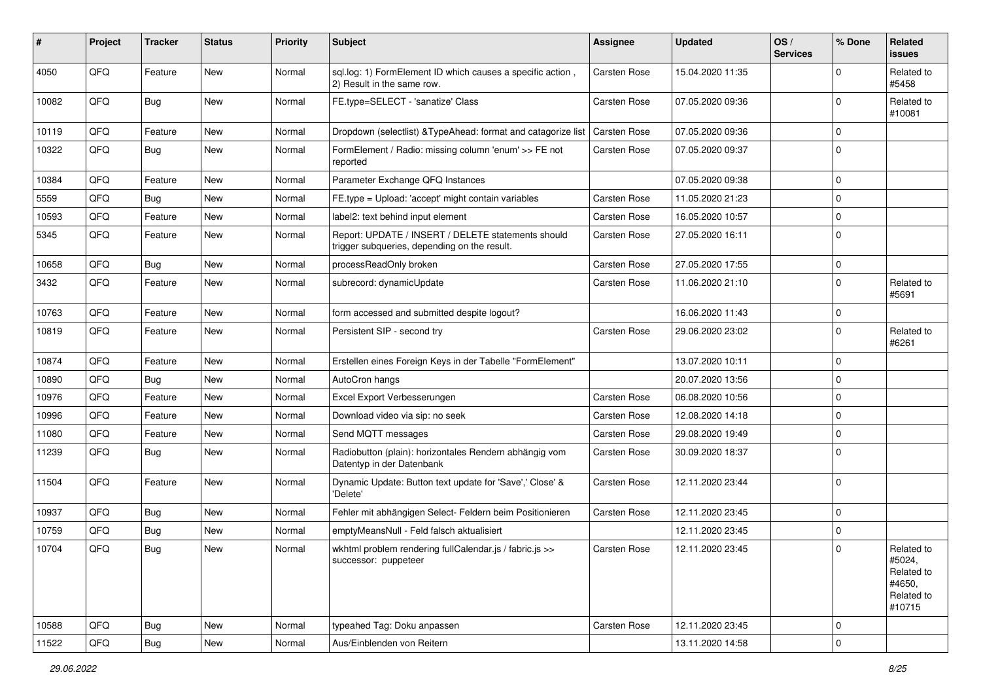| #     | Project | <b>Tracker</b> | <b>Status</b> | <b>Priority</b> | <b>Subject</b>                                                                                     | <b>Assignee</b>     | <b>Updated</b>   | OS/<br><b>Services</b> | % Done              | Related<br>issues                                                    |
|-------|---------|----------------|---------------|-----------------|----------------------------------------------------------------------------------------------------|---------------------|------------------|------------------------|---------------------|----------------------------------------------------------------------|
| 4050  | QFQ     | Feature        | <b>New</b>    | Normal          | sql.log: 1) FormElement ID which causes a specific action,<br>2) Result in the same row.           | Carsten Rose        | 15.04.2020 11:35 |                        | 0                   | Related to<br>#5458                                                  |
| 10082 | QFQ     | Bug            | New           | Normal          | FE.type=SELECT - 'sanatize' Class                                                                  | Carsten Rose        | 07.05.2020 09:36 |                        | $\Omega$            | Related to<br>#10081                                                 |
| 10119 | QFQ     | Feature        | <b>New</b>    | Normal          | Dropdown (selectlist) & Type Ahead: format and catagorize list   Carsten Rose                      |                     | 07.05.2020 09:36 |                        | $\Omega$            |                                                                      |
| 10322 | QFQ     | Bug            | <b>New</b>    | Normal          | FormElement / Radio: missing column 'enum' >> FE not<br>reported                                   | Carsten Rose        | 07.05.2020 09:37 |                        | $\Omega$            |                                                                      |
| 10384 | QFQ     | Feature        | <b>New</b>    | Normal          | Parameter Exchange QFQ Instances                                                                   |                     | 07.05.2020 09:38 |                        | $\Omega$            |                                                                      |
| 5559  | QFQ     | Bug            | <b>New</b>    | Normal          | FE.type = Upload: 'accept' might contain variables                                                 | Carsten Rose        | 11.05.2020 21:23 |                        | $\mathbf 0$         |                                                                      |
| 10593 | QFQ     | Feature        | New           | Normal          | label2: text behind input element                                                                  | <b>Carsten Rose</b> | 16.05.2020 10:57 |                        | $\Omega$            |                                                                      |
| 5345  | QFQ     | Feature        | New           | Normal          | Report: UPDATE / INSERT / DELETE statements should<br>trigger subqueries, depending on the result. | Carsten Rose        | 27.05.2020 16:11 |                        | $\Omega$            |                                                                      |
| 10658 | QFQ     | Bug            | <b>New</b>    | Normal          | processReadOnly broken                                                                             | Carsten Rose        | 27.05.2020 17:55 |                        | $\mathbf 0$         |                                                                      |
| 3432  | QFQ     | Feature        | <b>New</b>    | Normal          | subrecord: dynamicUpdate                                                                           | Carsten Rose        | 11.06.2020 21:10 |                        | $\Omega$            | Related to<br>#5691                                                  |
| 10763 | QFQ     | Feature        | <b>New</b>    | Normal          | form accessed and submitted despite logout?                                                        |                     | 16.06.2020 11:43 |                        | $\mathbf 0$         |                                                                      |
| 10819 | QFQ     | Feature        | New           | Normal          | Persistent SIP - second try                                                                        | Carsten Rose        | 29.06.2020 23:02 |                        | $\Omega$            | Related to<br>#6261                                                  |
| 10874 | QFQ     | Feature        | <b>New</b>    | Normal          | Erstellen eines Foreign Keys in der Tabelle "FormElement"                                          |                     | 13.07.2020 10:11 |                        | $\Omega$            |                                                                      |
| 10890 | QFQ     | Bug            | <b>New</b>    | Normal          | AutoCron hangs                                                                                     |                     | 20.07.2020 13:56 |                        | $\mathbf 0$         |                                                                      |
| 10976 | QFQ     | Feature        | <b>New</b>    | Normal          | Excel Export Verbesserungen                                                                        | Carsten Rose        | 06.08.2020 10:56 |                        | $\Omega$            |                                                                      |
| 10996 | QFQ     | Feature        | New           | Normal          | Download video via sip: no seek                                                                    | Carsten Rose        | 12.08.2020 14:18 |                        | $\mathbf 0$         |                                                                      |
| 11080 | QFQ     | Feature        | New           | Normal          | Send MQTT messages                                                                                 | <b>Carsten Rose</b> | 29.08.2020 19:49 |                        | $\mathbf 0$         |                                                                      |
| 11239 | QFQ     | Bug            | <b>New</b>    | Normal          | Radiobutton (plain): horizontales Rendern abhängig vom<br>Datentyp in der Datenbank                | <b>Carsten Rose</b> | 30.09.2020 18:37 |                        | $\Omega$            |                                                                      |
| 11504 | QFQ     | Feature        | <b>New</b>    | Normal          | Dynamic Update: Button text update for 'Save',' Close' &<br>'Delete'                               | Carsten Rose        | 12.11.2020 23:44 |                        | $\Omega$            |                                                                      |
| 10937 | QFQ     | Bug            | <b>New</b>    | Normal          | Fehler mit abhängigen Select- Feldern beim Positionieren                                           | Carsten Rose        | 12.11.2020 23:45 |                        | $\mathbf 0$         |                                                                      |
| 10759 | QFQ     | <b>Bug</b>     | New           | Normal          | emptyMeansNull - Feld falsch aktualisiert                                                          |                     | 12.11.2020 23:45 |                        | 0                   |                                                                      |
| 10704 | QFQ     | Bug            | New           | Normal          | wkhtml problem rendering fullCalendar.js / fabric.js >><br>successor: puppeteer                    | <b>Carsten Rose</b> | 12.11.2020 23:45 |                        | $\Omega$            | Related to<br>#5024,<br>Related to<br>#4650,<br>Related to<br>#10715 |
| 10588 | QFQ     | Bug            | <b>New</b>    | Normal          | typeahed Tag: Doku anpassen                                                                        | Carsten Rose        | 12.11.2020 23:45 |                        | $\mathbf 0$         |                                                                      |
| 11522 | QFG     | Bug            | New           | Normal          | Aus/Einblenden von Reitern                                                                         |                     | 13.11.2020 14:58 |                        | $\mathsf{O}\xspace$ |                                                                      |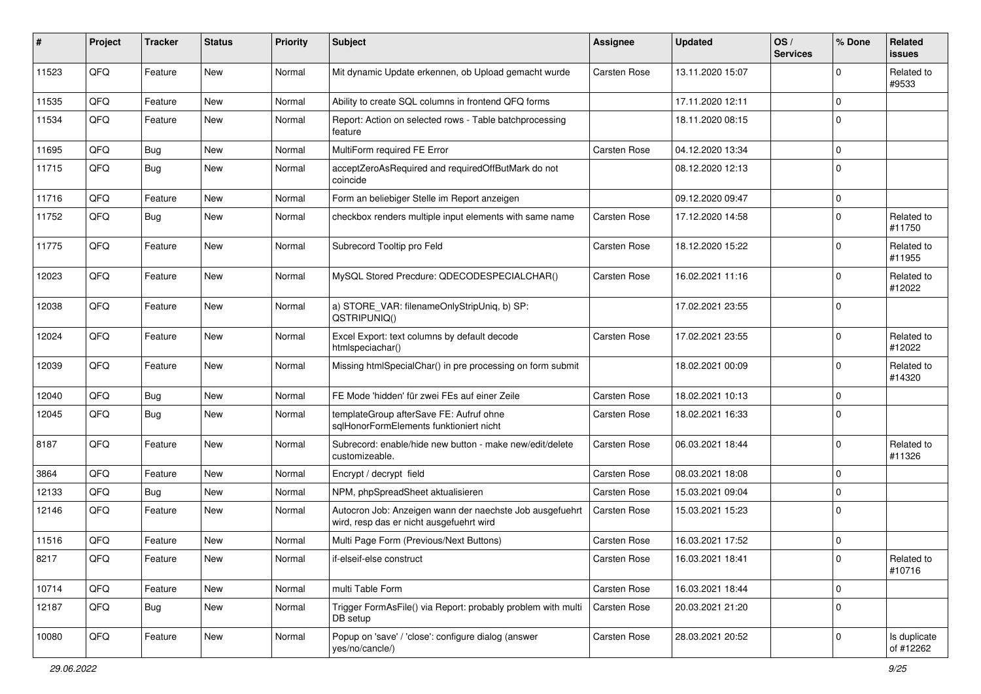| #     | Project | <b>Tracker</b> | <b>Status</b> | <b>Priority</b> | Subject                                                                                              | <b>Assignee</b>     | <b>Updated</b>   | OS/<br><b>Services</b> | % Done      | Related<br><b>issues</b>  |
|-------|---------|----------------|---------------|-----------------|------------------------------------------------------------------------------------------------------|---------------------|------------------|------------------------|-------------|---------------------------|
| 11523 | QFQ     | Feature        | <b>New</b>    | Normal          | Mit dynamic Update erkennen, ob Upload gemacht wurde                                                 | <b>Carsten Rose</b> | 13.11.2020 15:07 |                        | 0           | Related to<br>#9533       |
| 11535 | QFQ     | Feature        | New           | Normal          | Ability to create SQL columns in frontend QFQ forms                                                  |                     | 17.11.2020 12:11 |                        | $\Omega$    |                           |
| 11534 | QFQ     | Feature        | <b>New</b>    | Normal          | Report: Action on selected rows - Table batchprocessing<br>feature                                   |                     | 18.11.2020 08:15 |                        | $\Omega$    |                           |
| 11695 | QFQ     | Bug            | <b>New</b>    | Normal          | MultiForm required FE Error                                                                          | Carsten Rose        | 04.12.2020 13:34 |                        | $\Omega$    |                           |
| 11715 | QFQ     | <b>Bug</b>     | <b>New</b>    | Normal          | acceptZeroAsRequired and requiredOffButMark do not<br>coincide                                       |                     | 08.12.2020 12:13 |                        | $\mathbf 0$ |                           |
| 11716 | QFQ     | Feature        | <b>New</b>    | Normal          | Form an beliebiger Stelle im Report anzeigen                                                         |                     | 09.12.2020 09:47 |                        | $\mathbf 0$ |                           |
| 11752 | QFQ     | <b>Bug</b>     | <b>New</b>    | Normal          | checkbox renders multiple input elements with same name                                              | Carsten Rose        | 17.12.2020 14:58 |                        | $\Omega$    | Related to<br>#11750      |
| 11775 | QFQ     | Feature        | <b>New</b>    | Normal          | Subrecord Tooltip pro Feld                                                                           | Carsten Rose        | 18.12.2020 15:22 |                        | $\Omega$    | Related to<br>#11955      |
| 12023 | QFQ     | Feature        | New           | Normal          | MySQL Stored Precdure: QDECODESPECIALCHAR()                                                          | <b>Carsten Rose</b> | 16.02.2021 11:16 |                        | $\Omega$    | Related to<br>#12022      |
| 12038 | QFQ     | Feature        | <b>New</b>    | Normal          | a) STORE_VAR: filenameOnlyStripUniq, b) SP:<br>QSTRIPUNIQ()                                          |                     | 17.02.2021 23:55 |                        | $\Omega$    |                           |
| 12024 | QFQ     | Feature        | <b>New</b>    | Normal          | Excel Export: text columns by default decode<br>htmlspeciachar()                                     | Carsten Rose        | 17.02.2021 23:55 |                        | $\Omega$    | Related to<br>#12022      |
| 12039 | QFQ     | Feature        | <b>New</b>    | Normal          | Missing htmlSpecialChar() in pre processing on form submit                                           |                     | 18.02.2021 00:09 |                        | $\Omega$    | Related to<br>#14320      |
| 12040 | QFQ     | <b>Bug</b>     | <b>New</b>    | Normal          | FE Mode 'hidden' für zwei FEs auf einer Zeile                                                        | Carsten Rose        | 18.02.2021 10:13 |                        | $\Omega$    |                           |
| 12045 | QFQ     | Bug            | <b>New</b>    | Normal          | templateGroup afterSave FE: Aufruf ohne<br>sqlHonorFormElements funktioniert nicht                   | Carsten Rose        | 18.02.2021 16:33 |                        | $\Omega$    |                           |
| 8187  | QFQ     | Feature        | New           | Normal          | Subrecord: enable/hide new button - make new/edit/delete<br>customizeable.                           | Carsten Rose        | 06.03.2021 18:44 |                        | $\Omega$    | Related to<br>#11326      |
| 3864  | QFQ     | Feature        | <b>New</b>    | Normal          | Encrypt / decrypt field                                                                              | Carsten Rose        | 08.03.2021 18:08 |                        | $\Omega$    |                           |
| 12133 | QFQ     | Bug            | <b>New</b>    | Normal          | NPM, phpSpreadSheet aktualisieren                                                                    | <b>Carsten Rose</b> | 15.03.2021 09:04 |                        | $\Omega$    |                           |
| 12146 | QFQ     | Feature        | New           | Normal          | Autocron Job: Anzeigen wann der naechste Job ausgefuehrt<br>wird, resp das er nicht ausgefuehrt wird | Carsten Rose        | 15.03.2021 15:23 |                        | $\Omega$    |                           |
| 11516 | QFQ     | Feature        | New           | Normal          | Multi Page Form (Previous/Next Buttons)                                                              | Carsten Rose        | 16.03.2021 17:52 |                        | $\Omega$    |                           |
| 8217  | QFQ     | Feature        | New           | Normal          | if-elseif-else construct                                                                             | Carsten Rose        | 16.03.2021 18:41 |                        | 0           | Related to<br>#10716      |
| 10714 | QFQ     | Feature        | New           | Normal          | multi Table Form                                                                                     | Carsten Rose        | 16.03.2021 18:44 |                        | $\mathbf 0$ |                           |
| 12187 | QFQ     | <b>Bug</b>     | <b>New</b>    | Normal          | Trigger FormAsFile() via Report: probably problem with multi<br>DB setup                             | Carsten Rose        | 20.03.2021 21:20 |                        | $\Omega$    |                           |
| 10080 | QFQ     | Feature        | New           | Normal          | Popup on 'save' / 'close': configure dialog (answer<br>yes/no/cancle/)                               | Carsten Rose        | 28.03.2021 20:52 |                        | $\mathbf 0$ | Is duplicate<br>of #12262 |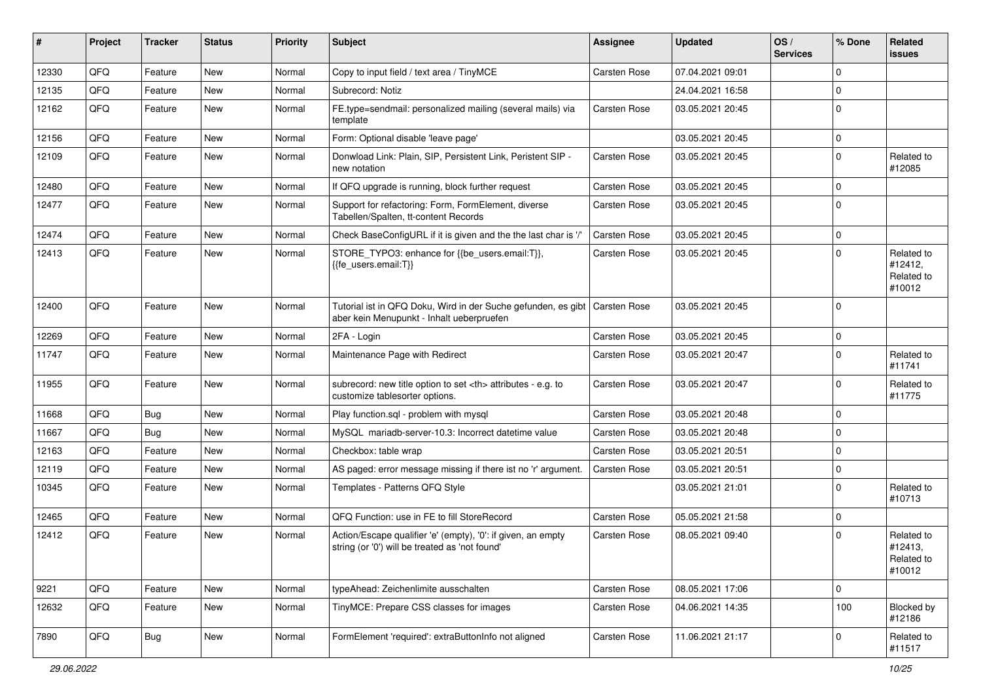| ∦     | Project | <b>Tracker</b> | <b>Status</b> | <b>Priority</b> | <b>Subject</b>                                                                                                            | Assignee                                               | <b>Updated</b>   | OS/<br><b>Services</b> | % Done      | Related<br><b>issues</b>                      |                      |
|-------|---------|----------------|---------------|-----------------|---------------------------------------------------------------------------------------------------------------------------|--------------------------------------------------------|------------------|------------------------|-------------|-----------------------------------------------|----------------------|
| 12330 | QFQ     | Feature        | <b>New</b>    | Normal          | Copy to input field / text area / TinyMCE                                                                                 | Carsten Rose                                           | 07.04.2021 09:01 |                        | $\Omega$    |                                               |                      |
| 12135 | QFQ     | Feature        | New           | Normal          | Subrecord: Notiz                                                                                                          |                                                        | 24.04.2021 16:58 |                        | $\mathbf 0$ |                                               |                      |
| 12162 | QFQ     | Feature        | New           | Normal          | FE.type=sendmail: personalized mailing (several mails) via<br>template                                                    | <b>Carsten Rose</b>                                    | 03.05.2021 20:45 |                        | $\Omega$    |                                               |                      |
| 12156 | QFQ     | Feature        | New           | Normal          | Form: Optional disable 'leave page'                                                                                       |                                                        | 03.05.2021 20:45 |                        | $\Omega$    |                                               |                      |
| 12109 | QFQ     | Feature        | New           | Normal          | Donwload Link: Plain, SIP, Persistent Link, Peristent SIP -<br>new notation                                               | Carsten Rose                                           | 03.05.2021 20:45 |                        | $\Omega$    | Related to<br>#12085                          |                      |
| 12480 | QFQ     | Feature        | <b>New</b>    | Normal          | If QFQ upgrade is running, block further request                                                                          | Carsten Rose                                           | 03.05.2021 20:45 |                        | $\Omega$    |                                               |                      |
| 12477 | QFQ     | Feature        | New           | Normal          | Support for refactoring: Form, FormElement, diverse<br>Tabellen/Spalten, tt-content Records                               | Carsten Rose                                           | 03.05.2021 20:45 |                        | $\Omega$    |                                               |                      |
| 12474 | QFQ     | Feature        | <b>New</b>    | Normal          | Check BaseConfigURL if it is given and the the last char is '/'                                                           | Carsten Rose                                           | 03.05.2021 20:45 |                        | $\Omega$    |                                               |                      |
| 12413 | QFQ     | Feature        | <b>New</b>    | Normal          | STORE_TYPO3: enhance for {{be_users.email:T}},<br>{{fe users.email:T}}                                                    | Carsten Rose                                           | 03.05.2021 20:45 |                        | $\Omega$    | Related to<br>#12412,<br>Related to<br>#10012 |                      |
| 12400 | QFQ     | Feature        | <b>New</b>    | Normal          | Tutorial ist in QFQ Doku, Wird in der Suche gefunden, es gibt   Carsten Rose<br>aber kein Menupunkt - Inhalt ueberpruefen |                                                        | 03.05.2021 20:45 |                        | $\Omega$    |                                               |                      |
| 12269 | QFQ     | Feature        | <b>New</b>    | Normal          | 2FA - Login                                                                                                               | Carsten Rose                                           | 03.05.2021 20:45 |                        | $\mathbf 0$ |                                               |                      |
| 11747 | QFQ     | Feature        | New           | Normal          | Maintenance Page with Redirect                                                                                            | Carsten Rose                                           | 03.05.2021 20:47 |                        | $\Omega$    | Related to<br>#11741                          |                      |
| 11955 | QFQ     | Feature        | <b>New</b>    | Normal          | subrecord: new title option to set <th> attributes - e.g. to<br/>customize tablesorter options.</th>                      | attributes - e.g. to<br>customize tablesorter options. | Carsten Rose     | 03.05.2021 20:47       |             | $\Omega$                                      | Related to<br>#11775 |
| 11668 | QFQ     | <b>Bug</b>     | New           | Normal          | Play function.sql - problem with mysql                                                                                    | Carsten Rose                                           | 03.05.2021 20:48 |                        | $\mathbf 0$ |                                               |                      |
| 11667 | QFQ     | Bug            | New           | Normal          | MySQL mariadb-server-10.3: Incorrect datetime value                                                                       | Carsten Rose                                           | 03.05.2021 20:48 |                        | $\mathbf 0$ |                                               |                      |
| 12163 | QFQ     | Feature        | New           | Normal          | Checkbox: table wrap                                                                                                      | Carsten Rose                                           | 03.05.2021 20:51 |                        | $\mathbf 0$ |                                               |                      |
| 12119 | QFQ     | Feature        | <b>New</b>    | Normal          | AS paged: error message missing if there ist no 'r' argument.                                                             | Carsten Rose                                           | 03.05.2021 20:51 |                        | $\Omega$    |                                               |                      |
| 10345 | QFQ     | Feature        | New           | Normal          | Templates - Patterns QFQ Style                                                                                            |                                                        | 03.05.2021 21:01 |                        | $\Omega$    | Related to<br>#10713                          |                      |
| 12465 | QFQ     | Feature        | <b>New</b>    | Normal          | QFQ Function: use in FE to fill StoreRecord                                                                               | Carsten Rose                                           | 05.05.2021 21:58 |                        | 0           |                                               |                      |
| 12412 | QFQ     | Feature        | New           | Normal          | Action/Escape qualifier 'e' (empty), '0': if given, an empty<br>string (or '0') will be treated as 'not found'            | Carsten Rose                                           | 08.05.2021 09:40 |                        | $\Omega$    | Related to<br>#12413,<br>Related to<br>#10012 |                      |
| 9221  | QFQ     | Feature        | New           | Normal          | typeAhead: Zeichenlimite ausschalten                                                                                      | Carsten Rose                                           | 08.05.2021 17:06 |                        | 0           |                                               |                      |
| 12632 | QFQ     | Feature        | New           | Normal          | TinyMCE: Prepare CSS classes for images                                                                                   | Carsten Rose                                           | 04.06.2021 14:35 |                        | 100         | Blocked by<br>#12186                          |                      |
| 7890  | QFO     | <b>Bug</b>     | New           | Normal          | FormElement 'required': extraButtonInfo not aligned                                                                       | Carsten Rose                                           | 11.06.2021 21:17 |                        | 0           | Related to<br>#11517                          |                      |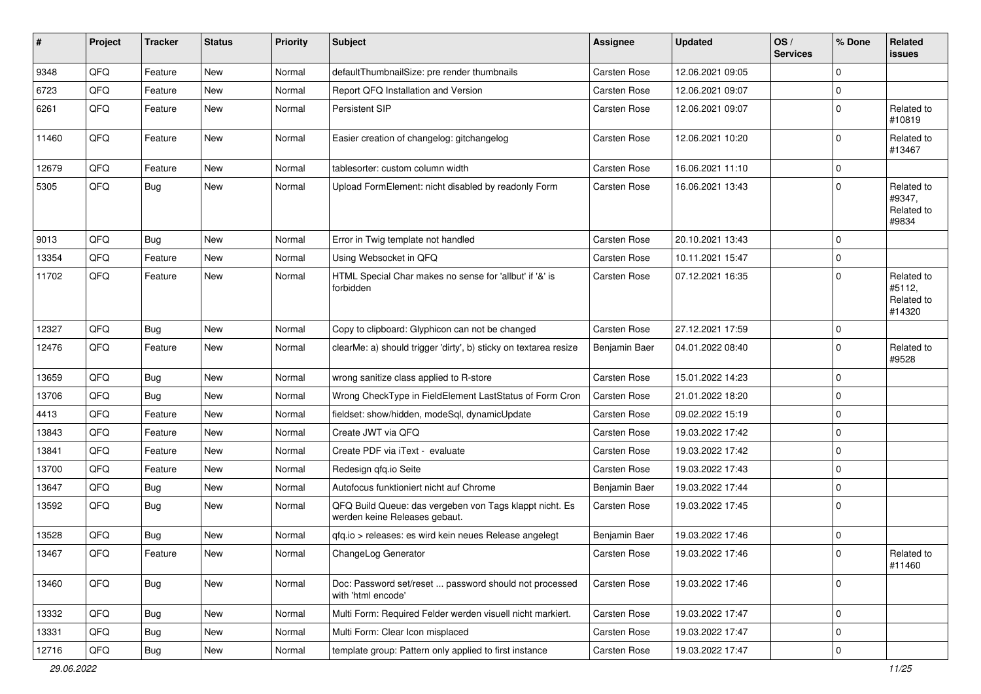| #     | Project | <b>Tracker</b> | <b>Status</b> | <b>Priority</b> | <b>Subject</b>                                                                           | Assignee            | <b>Updated</b>   | OS/<br><b>Services</b> | % Done      | Related<br><b>issues</b>                     |
|-------|---------|----------------|---------------|-----------------|------------------------------------------------------------------------------------------|---------------------|------------------|------------------------|-------------|----------------------------------------------|
| 9348  | QFQ     | Feature        | New           | Normal          | defaultThumbnailSize: pre render thumbnails                                              | <b>Carsten Rose</b> | 12.06.2021 09:05 |                        | $\Omega$    |                                              |
| 6723  | QFQ     | Feature        | New           | Normal          | Report QFQ Installation and Version                                                      | Carsten Rose        | 12.06.2021 09:07 |                        | 0           |                                              |
| 6261  | QFQ     | Feature        | New           | Normal          | Persistent SIP                                                                           | Carsten Rose        | 12.06.2021 09:07 |                        | $\mathbf 0$ | Related to<br>#10819                         |
| 11460 | QFQ     | Feature        | <b>New</b>    | Normal          | Easier creation of changelog: gitchangelog                                               | Carsten Rose        | 12.06.2021 10:20 |                        | $\Omega$    | Related to<br>#13467                         |
| 12679 | QFQ     | Feature        | <b>New</b>    | Normal          | tablesorter: custom column width                                                         | Carsten Rose        | 16.06.2021 11:10 |                        | $\mathbf 0$ |                                              |
| 5305  | QFQ     | Bug            | New           | Normal          | Upload FormElement: nicht disabled by readonly Form                                      | Carsten Rose        | 16.06.2021 13:43 |                        | $\Omega$    | Related to<br>#9347,<br>Related to<br>#9834  |
| 9013  | QFQ     | Bug            | <b>New</b>    | Normal          | Error in Twig template not handled                                                       | Carsten Rose        | 20.10.2021 13:43 |                        | $\mathbf 0$ |                                              |
| 13354 | QFQ     | Feature        | <b>New</b>    | Normal          | Using Websocket in QFQ                                                                   | Carsten Rose        | 10.11.2021 15:47 |                        | 0           |                                              |
| 11702 | QFQ     | Feature        | New           | Normal          | HTML Special Char makes no sense for 'allbut' if '&' is<br>forbidden                     | Carsten Rose        | 07.12.2021 16:35 |                        | $\mathbf 0$ | Related to<br>#5112,<br>Related to<br>#14320 |
| 12327 | QFQ     | Bug            | <b>New</b>    | Normal          | Copy to clipboard: Glyphicon can not be changed                                          | Carsten Rose        | 27.12.2021 17:59 |                        | 0           |                                              |
| 12476 | QFQ     | Feature        | New           | Normal          | clearMe: a) should trigger 'dirty', b) sticky on textarea resize                         | Benjamin Baer       | 04.01.2022 08:40 |                        | $\Omega$    | Related to<br>#9528                          |
| 13659 | QFQ     | Bug            | New           | Normal          | wrong sanitize class applied to R-store                                                  | Carsten Rose        | 15.01.2022 14:23 |                        | $\mathbf 0$ |                                              |
| 13706 | QFQ     | Bug            | <b>New</b>    | Normal          | Wrong CheckType in FieldElement LastStatus of Form Cron                                  | Carsten Rose        | 21.01.2022 18:20 |                        | $\Omega$    |                                              |
| 4413  | QFQ     | Feature        | New           | Normal          | fieldset: show/hidden, modeSql, dynamicUpdate                                            | Carsten Rose        | 09.02.2022 15:19 |                        | $\mathbf 0$ |                                              |
| 13843 | QFQ     | Feature        | <b>New</b>    | Normal          | Create JWT via QFQ                                                                       | Carsten Rose        | 19.03.2022 17:42 |                        | $\mathbf 0$ |                                              |
| 13841 | QFQ     | Feature        | New           | Normal          | Create PDF via iText - evaluate                                                          | Carsten Rose        | 19.03.2022 17:42 |                        | $\mathbf 0$ |                                              |
| 13700 | QFQ     | Feature        | <b>New</b>    | Normal          | Redesign gfg.io Seite                                                                    | Carsten Rose        | 19.03.2022 17:43 |                        | $\mathbf 0$ |                                              |
| 13647 | QFQ     | <b>Bug</b>     | New           | Normal          | Autofocus funktioniert nicht auf Chrome                                                  | Benjamin Baer       | 19.03.2022 17:44 |                        | $\Omega$    |                                              |
| 13592 | QFQ     | Bug            | <b>New</b>    | Normal          | QFQ Build Queue: das vergeben von Tags klappt nicht. Es<br>werden keine Releases gebaut. | Carsten Rose        | 19.03.2022 17:45 |                        | $\mathbf 0$ |                                              |
| 13528 | QFQ     | Bug            | New           | Normal          | qfq.io > releases: es wird kein neues Release angelegt                                   | Benjamin Baer       | 19.03.2022 17:46 |                        | $\mathbf 0$ |                                              |
| 13467 | QFG     | Feature        | New           | Normal          | ChangeLog Generator                                                                      | Carsten Rose        | 19.03.2022 17:46 |                        | $\Omega$    | Related to<br>#11460                         |
| 13460 | QFQ     | Bug            | New           | Normal          | Doc: Password set/reset  password should not processed<br>with 'html encode'             | Carsten Rose        | 19.03.2022 17:46 |                        | 0           |                                              |
| 13332 | QFQ     | Bug            | New           | Normal          | Multi Form: Required Felder werden visuell nicht markiert.                               | Carsten Rose        | 19.03.2022 17:47 |                        | $\mathbf 0$ |                                              |
| 13331 | QFQ     | <b>Bug</b>     | New           | Normal          | Multi Form: Clear Icon misplaced                                                         | Carsten Rose        | 19.03.2022 17:47 |                        | 0           |                                              |
| 12716 | QFQ     | <b>Bug</b>     | New           | Normal          | template group: Pattern only applied to first instance                                   | Carsten Rose        | 19.03.2022 17:47 |                        | 0           |                                              |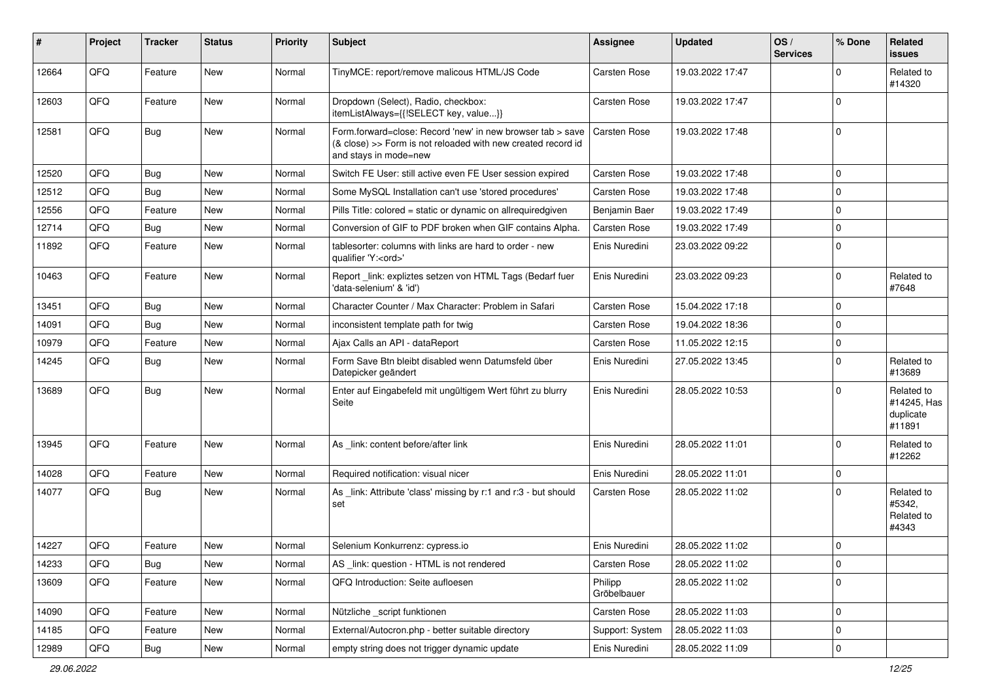| $\sharp$ | Project | <b>Tracker</b> | <b>Status</b> | <b>Priority</b> | <b>Subject</b>                                                                                                                                      | <b>Assignee</b>        | <b>Updated</b>   | OS/<br><b>Services</b> | % Done      | Related<br><b>issues</b>                         |
|----------|---------|----------------|---------------|-----------------|-----------------------------------------------------------------------------------------------------------------------------------------------------|------------------------|------------------|------------------------|-------------|--------------------------------------------------|
| 12664    | QFQ     | Feature        | New           | Normal          | TinyMCE: report/remove malicous HTML/JS Code                                                                                                        | Carsten Rose           | 19.03.2022 17:47 |                        | ∩           | Related to<br>#14320                             |
| 12603    | QFQ     | Feature        | New           | Normal          | Dropdown (Select), Radio, checkbox:<br>itemListAlways={{!SELECT key, value}}                                                                        | Carsten Rose           | 19.03.2022 17:47 |                        | 0           |                                                  |
| 12581    | QFQ     | Bug            | New           | Normal          | Form.forward=close: Record 'new' in new browser tab > save<br>(& close) >> Form is not reloaded with new created record id<br>and stays in mode=new | Carsten Rose           | 19.03.2022 17:48 |                        | $\mathbf 0$ |                                                  |
| 12520    | QFQ     | Bug            | New           | Normal          | Switch FE User: still active even FE User session expired                                                                                           | Carsten Rose           | 19.03.2022 17:48 |                        | $\Omega$    |                                                  |
| 12512    | QFQ     | Bug            | New           | Normal          | Some MySQL Installation can't use 'stored procedures'                                                                                               | Carsten Rose           | 19.03.2022 17:48 |                        | $\mathbf 0$ |                                                  |
| 12556    | QFQ     | Feature        | New           | Normal          | Pills Title: colored = static or dynamic on allrequiredgiven                                                                                        | Benjamin Baer          | 19.03.2022 17:49 |                        | $\mathbf 0$ |                                                  |
| 12714    | QFQ     | <b>Bug</b>     | New           | Normal          | Conversion of GIF to PDF broken when GIF contains Alpha.                                                                                            | Carsten Rose           | 19.03.2022 17:49 |                        | $\mathbf 0$ |                                                  |
| 11892    | QFQ     | Feature        | New           | Normal          | tablesorter: columns with links are hard to order - new<br>qualifier 'Y: <ord>'</ord>                                                               | Enis Nuredini          | 23.03.2022 09:22 |                        | $\Omega$    |                                                  |
| 10463    | QFQ     | Feature        | New           | Normal          | Report_link: expliztes setzen von HTML Tags (Bedarf fuer<br>'data-selenium' & 'id')                                                                 | Enis Nuredini          | 23.03.2022 09:23 |                        | $\mathbf 0$ | Related to<br>#7648                              |
| 13451    | QFQ     | Bug            | New           | Normal          | Character Counter / Max Character: Problem in Safari                                                                                                | Carsten Rose           | 15.04.2022 17:18 |                        | $\Omega$    |                                                  |
| 14091    | QFQ     | Bug            | <b>New</b>    | Normal          | inconsistent template path for twig                                                                                                                 | Carsten Rose           | 19.04.2022 18:36 |                        | $\mathbf 0$ |                                                  |
| 10979    | QFQ     | Feature        | New           | Normal          | Ajax Calls an API - dataReport                                                                                                                      | Carsten Rose           | 11.05.2022 12:15 |                        | $\mathbf 0$ |                                                  |
| 14245    | QFQ     | Bug            | New           | Normal          | Form Save Btn bleibt disabled wenn Datumsfeld über<br>Datepicker geändert                                                                           | Enis Nuredini          | 27.05.2022 13:45 |                        | $\Omega$    | Related to<br>#13689                             |
| 13689    | QFQ     | Bug            | New           | Normal          | Enter auf Eingabefeld mit ungültigem Wert führt zu blurry<br>Seite                                                                                  | Enis Nuredini          | 28.05.2022 10:53 |                        | $\Omega$    | Related to<br>#14245, Has<br>duplicate<br>#11891 |
| 13945    | QFQ     | Feature        | New           | Normal          | As link: content before/after link                                                                                                                  | Enis Nuredini          | 28.05.2022 11:01 |                        | $\Omega$    | Related to<br>#12262                             |
| 14028    | QFQ     | Feature        | New           | Normal          | Required notification: visual nicer                                                                                                                 | Enis Nuredini          | 28.05.2022 11:01 |                        | $\mathbf 0$ |                                                  |
| 14077    | QFQ     | Bug            | New           | Normal          | As _link: Attribute 'class' missing by r:1 and r:3 - but should<br>set                                                                              | Carsten Rose           | 28.05.2022 11:02 |                        | $\Omega$    | Related to<br>#5342,<br>Related to<br>#4343      |
| 14227    | QFQ     | Feature        | New           | Normal          | Selenium Konkurrenz: cypress.io                                                                                                                     | Enis Nuredini          | 28.05.2022 11:02 |                        | $\mathbf 0$ |                                                  |
| 14233    | QFG     | <b>Bug</b>     | New           | Normal          | AS _link: question - HTML is not rendered                                                                                                           | Carsten Rose           | 28.05.2022 11:02 |                        | 0           |                                                  |
| 13609    | QFQ     | Feature        | New           | Normal          | QFQ Introduction: Seite aufloesen                                                                                                                   | Philipp<br>Gröbelbauer | 28.05.2022 11:02 |                        | 0           |                                                  |
| 14090    | QFQ     | Feature        | New           | Normal          | Nützliche _script funktionen                                                                                                                        | Carsten Rose           | 28.05.2022 11:03 |                        | 0           |                                                  |
| 14185    | QFQ     | Feature        | New           | Normal          | External/Autocron.php - better suitable directory                                                                                                   | Support: System        | 28.05.2022 11:03 |                        | $\mathbf 0$ |                                                  |
| 12989    | QFQ     | Bug            | New           | Normal          | empty string does not trigger dynamic update                                                                                                        | Enis Nuredini          | 28.05.2022 11:09 |                        | $\mathbf 0$ |                                                  |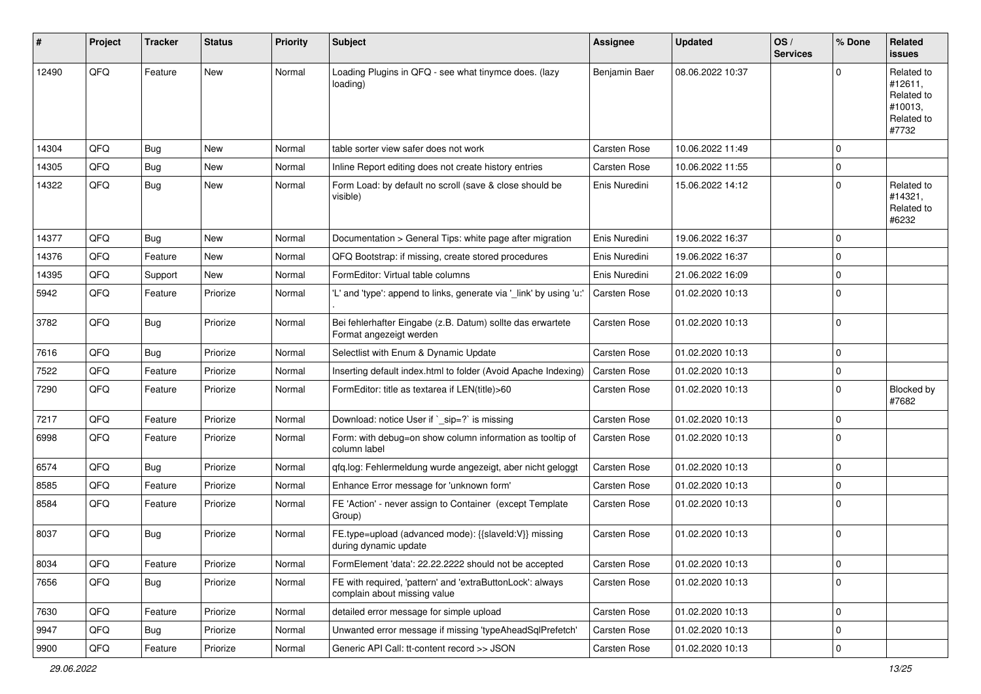| $\sharp$ | Project | <b>Tracker</b> | <b>Status</b> | <b>Priority</b> | Subject                                                                                   | <b>Assignee</b>     | <b>Updated</b>   | OS/<br><b>Services</b> | % Done      | Related<br><b>issues</b>                                              |
|----------|---------|----------------|---------------|-----------------|-------------------------------------------------------------------------------------------|---------------------|------------------|------------------------|-------------|-----------------------------------------------------------------------|
| 12490    | QFQ     | Feature        | <b>New</b>    | Normal          | Loading Plugins in QFQ - see what tinymce does. (lazy<br>loading)                         | Benjamin Baer       | 08.06.2022 10:37 |                        | $\Omega$    | Related to<br>#12611,<br>Related to<br>#10013,<br>Related to<br>#7732 |
| 14304    | QFQ     | Bug            | <b>New</b>    | Normal          | table sorter view safer does not work                                                     | <b>Carsten Rose</b> | 10.06.2022 11:49 |                        | $\mathbf 0$ |                                                                       |
| 14305    | QFQ     | <b>Bug</b>     | New           | Normal          | Inline Report editing does not create history entries                                     | Carsten Rose        | 10.06.2022 11:55 |                        | $\mathbf 0$ |                                                                       |
| 14322    | QFQ     | Bug            | New           | Normal          | Form Load: by default no scroll (save & close should be<br>visible)                       | Enis Nuredini       | 15.06.2022 14:12 |                        | $\mathbf 0$ | Related to<br>#14321,<br>Related to<br>#6232                          |
| 14377    | QFQ     | <b>Bug</b>     | <b>New</b>    | Normal          | Documentation > General Tips: white page after migration                                  | Enis Nuredini       | 19.06.2022 16:37 |                        | $\mathbf 0$ |                                                                       |
| 14376    | QFQ     | Feature        | New           | Normal          | QFQ Bootstrap: if missing, create stored procedures                                       | Enis Nuredini       | 19.06.2022 16:37 |                        | $\mathbf 0$ |                                                                       |
| 14395    | QFQ     | Support        | New           | Normal          | FormEditor: Virtual table columns                                                         | Enis Nuredini       | 21.06.2022 16:09 |                        | $\mathbf 0$ |                                                                       |
| 5942     | QFQ     | Feature        | Priorize      | Normal          | 'L' and 'type': append to links, generate via '_link' by using 'u:'                       | Carsten Rose        | 01.02.2020 10:13 |                        | $\mathbf 0$ |                                                                       |
| 3782     | QFQ     | Bug            | Priorize      | Normal          | Bei fehlerhafter Eingabe (z.B. Datum) sollte das erwartete<br>Format angezeigt werden     | Carsten Rose        | 01.02.2020 10:13 |                        | $\mathbf 0$ |                                                                       |
| 7616     | QFQ     | Bug            | Priorize      | Normal          | Selectlist with Enum & Dynamic Update                                                     | Carsten Rose        | 01.02.2020 10:13 |                        | $\mathbf 0$ |                                                                       |
| 7522     | QFQ     | Feature        | Priorize      | Normal          | Inserting default index.html to folder (Avoid Apache Indexing)                            | Carsten Rose        | 01.02.2020 10:13 |                        | $\mathbf 0$ |                                                                       |
| 7290     | QFQ     | Feature        | Priorize      | Normal          | FormEditor: title as textarea if LEN(title)>60                                            | Carsten Rose        | 01.02.2020 10:13 |                        | $\Omega$    | Blocked by<br>#7682                                                   |
| 7217     | QFQ     | Feature        | Priorize      | Normal          | Download: notice User if `_sip=?` is missing                                              | Carsten Rose        | 01.02.2020 10:13 |                        | $\mathbf 0$ |                                                                       |
| 6998     | QFQ     | Feature        | Priorize      | Normal          | Form: with debug=on show column information as tooltip of<br>column label                 | Carsten Rose        | 01.02.2020 10:13 |                        | $\mathbf 0$ |                                                                       |
| 6574     | QFQ     | Bug            | Priorize      | Normal          | qfq.log: Fehlermeldung wurde angezeigt, aber nicht geloggt                                | Carsten Rose        | 01.02.2020 10:13 |                        | $\mathbf 0$ |                                                                       |
| 8585     | QFQ     | Feature        | Priorize      | Normal          | Enhance Error message for 'unknown form'                                                  | Carsten Rose        | 01.02.2020 10:13 |                        | $\mathbf 0$ |                                                                       |
| 8584     | QFQ     | Feature        | Priorize      | Normal          | FE 'Action' - never assign to Container (except Template<br>Group)                        | Carsten Rose        | 01.02.2020 10:13 |                        | 0           |                                                                       |
| 8037     | QFQ     | Bug            | Priorize      | Normal          | FE.type=upload (advanced mode): {{slaveld:V}} missing<br>during dynamic update            | Carsten Rose        | 01.02.2020 10:13 |                        | $\mathbf 0$ |                                                                       |
| 8034     | QFG     | Feature        | Priorize      | Normal          | FormElement 'data': 22.22.2222 should not be accepted                                     | <b>Carsten Rose</b> | 01.02.2020 10:13 |                        | $\mathbf 0$ |                                                                       |
| 7656     | QFQ     | <b>Bug</b>     | Priorize      | Normal          | FE with required, 'pattern' and 'extraButtonLock': always<br>complain about missing value | Carsten Rose        | 01.02.2020 10:13 |                        | $\Omega$    |                                                                       |
| 7630     | QFQ     | Feature        | Priorize      | Normal          | detailed error message for simple upload                                                  | Carsten Rose        | 01.02.2020 10:13 |                        | $\mathbf 0$ |                                                                       |
| 9947     | QFQ     | Bug            | Priorize      | Normal          | Unwanted error message if missing 'typeAheadSqlPrefetch'                                  | Carsten Rose        | 01.02.2020 10:13 |                        | $\mathbf 0$ |                                                                       |
| 9900     | QFG     | Feature        | Priorize      | Normal          | Generic API Call: tt-content record >> JSON                                               | Carsten Rose        | 01.02.2020 10:13 |                        | $\mathbf 0$ |                                                                       |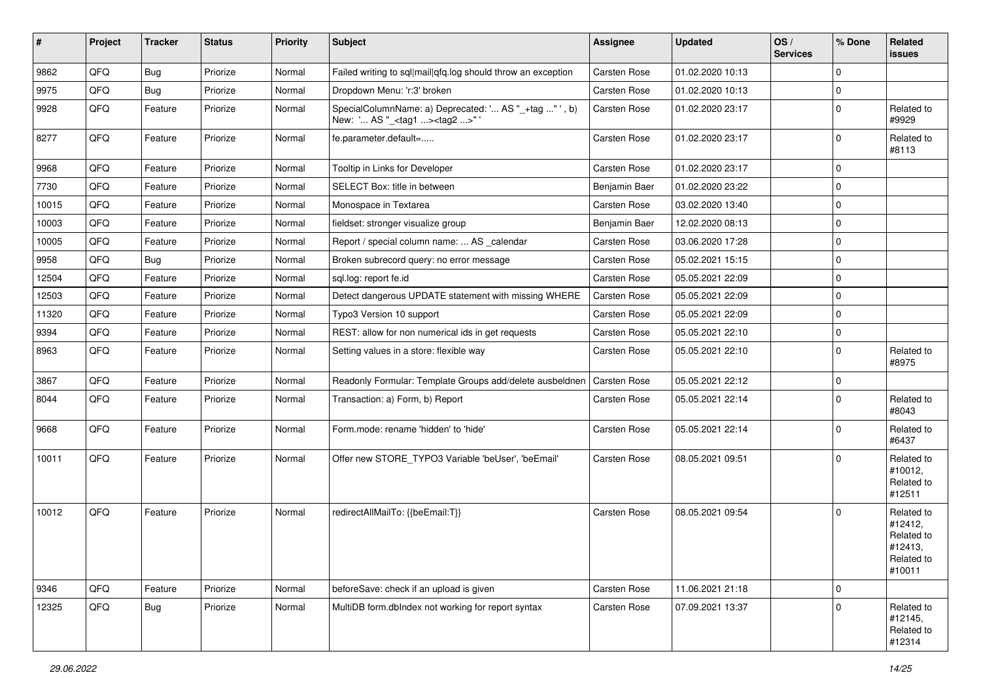| $\vert$ # | Project | <b>Tracker</b> | <b>Status</b> | <b>Priority</b> | <b>Subject</b>                                                                                      | <b>Assignee</b>     | Updated          | OS/<br><b>Services</b> | % Done      | Related<br><b>issues</b>                                               |
|-----------|---------|----------------|---------------|-----------------|-----------------------------------------------------------------------------------------------------|---------------------|------------------|------------------------|-------------|------------------------------------------------------------------------|
| 9862      | QFQ     | Bug            | Priorize      | Normal          | Failed writing to sql mail qfq.log should throw an exception                                        | <b>Carsten Rose</b> | 01.02.2020 10:13 |                        | $\mathbf 0$ |                                                                        |
| 9975      | QFQ     | Bug            | Priorize      | Normal          | Dropdown Menu: 'r:3' broken                                                                         | Carsten Rose        | 01.02.2020 10:13 |                        | $\mathbf 0$ |                                                                        |
| 9928      | QFQ     | Feature        | Priorize      | Normal          | SpecialColumnName: a) Deprecated: ' AS "_+tag " ', b)<br>New: ' AS "_ <tag1><tag2>" '</tag2></tag1> | Carsten Rose        | 01.02.2020 23:17 |                        | $\mathbf 0$ | Related to<br>#9929                                                    |
| 8277      | QFQ     | Feature        | Priorize      | Normal          | fe.parameter.default=                                                                               | Carsten Rose        | 01.02.2020 23:17 |                        | $\mathbf 0$ | Related to<br>#8113                                                    |
| 9968      | QFQ     | Feature        | Priorize      | Normal          | Tooltip in Links for Developer                                                                      | Carsten Rose        | 01.02.2020 23:17 |                        | $\mathbf 0$ |                                                                        |
| 7730      | QFQ     | Feature        | Priorize      | Normal          | SELECT Box: title in between                                                                        | Benjamin Baer       | 01.02.2020 23:22 |                        | $\mathbf 0$ |                                                                        |
| 10015     | QFQ     | Feature        | Priorize      | Normal          | Monospace in Textarea                                                                               | Carsten Rose        | 03.02.2020 13:40 |                        | $\mathbf 0$ |                                                                        |
| 10003     | QFQ     | Feature        | Priorize      | Normal          | fieldset: stronger visualize group                                                                  | Benjamin Baer       | 12.02.2020 08:13 |                        | $\mathbf 0$ |                                                                        |
| 10005     | QFQ     | Feature        | Priorize      | Normal          | Report / special column name:  AS _calendar                                                         | Carsten Rose        | 03.06.2020 17:28 |                        | $\mathbf 0$ |                                                                        |
| 9958      | QFQ     | Bug            | Priorize      | Normal          | Broken subrecord query: no error message                                                            | Carsten Rose        | 05.02.2021 15:15 |                        | $\mathbf 0$ |                                                                        |
| 12504     | QFQ     | Feature        | Priorize      | Normal          | sql.log: report fe.id                                                                               | Carsten Rose        | 05.05.2021 22:09 |                        | $\mathbf 0$ |                                                                        |
| 12503     | QFQ     | Feature        | Priorize      | Normal          | Detect dangerous UPDATE statement with missing WHERE                                                | Carsten Rose        | 05.05.2021 22:09 |                        | $\mathbf 0$ |                                                                        |
| 11320     | QFQ     | Feature        | Priorize      | Normal          | Typo3 Version 10 support                                                                            | Carsten Rose        | 05.05.2021 22:09 |                        | $\mathbf 0$ |                                                                        |
| 9394      | QFQ     | Feature        | Priorize      | Normal          | REST: allow for non numerical ids in get requests                                                   | Carsten Rose        | 05.05.2021 22:10 |                        | $\mathbf 0$ |                                                                        |
| 8963      | QFQ     | Feature        | Priorize      | Normal          | Setting values in a store: flexible way                                                             | Carsten Rose        | 05.05.2021 22:10 |                        | $\mathbf 0$ | Related to<br>#8975                                                    |
| 3867      | QFQ     | Feature        | Priorize      | Normal          | Readonly Formular: Template Groups add/delete ausbeldnen                                            | Carsten Rose        | 05.05.2021 22:12 |                        | $\mathbf 0$ |                                                                        |
| 8044      | QFQ     | Feature        | Priorize      | Normal          | Transaction: a) Form, b) Report                                                                     | Carsten Rose        | 05.05.2021 22:14 |                        | $\mathbf 0$ | Related to<br>#8043                                                    |
| 9668      | QFQ     | Feature        | Priorize      | Normal          | Form.mode: rename 'hidden' to 'hide'                                                                | Carsten Rose        | 05.05.2021 22:14 |                        | $\mathbf 0$ | Related to<br>#6437                                                    |
| 10011     | QFQ     | Feature        | Priorize      | Normal          | Offer new STORE_TYPO3 Variable 'beUser', 'beEmail'                                                  | Carsten Rose        | 08.05.2021 09:51 |                        | $\Omega$    | Related to<br>#10012,<br>Related to<br>#12511                          |
| 10012     | QFQ     | Feature        | Priorize      | Normal          | redirectAllMailTo: {{beEmail:T}}                                                                    | Carsten Rose        | 08.05.2021 09:54 |                        | $\mathbf 0$ | Related to<br>#12412,<br>Related to<br>#12413,<br>Related to<br>#10011 |
| 9346      | QFQ     | Feature        | Priorize      | Normal          | beforeSave: check if an upload is given                                                             | Carsten Rose        | 11.06.2021 21:18 |                        | $\mathbf 0$ |                                                                        |
| 12325     | QFQ     | <b>Bug</b>     | Priorize      | Normal          | MultiDB form.dblndex not working for report syntax                                                  | Carsten Rose        | 07.09.2021 13:37 |                        | $\mathbf 0$ | Related to<br>#12145,<br>Related to<br>#12314                          |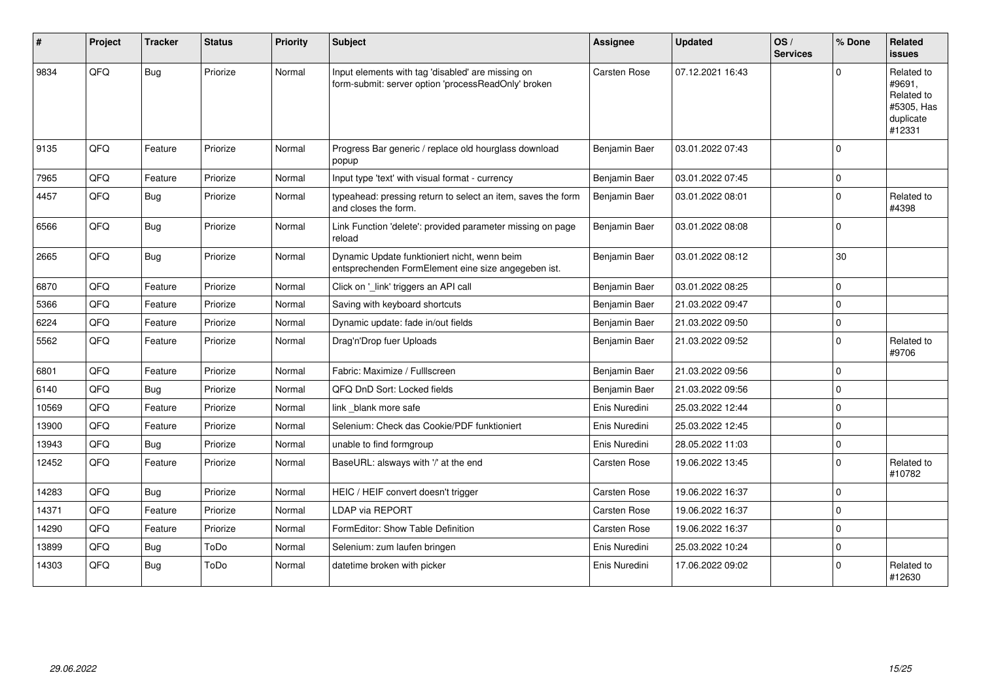| #     | Project | <b>Tracker</b> | <b>Status</b> | Priority | <b>Subject</b>                                                                                           | <b>Assignee</b> | <b>Updated</b>   | OS/<br><b>Services</b> | % Done       | <b>Related</b><br><b>issues</b>                                         |
|-------|---------|----------------|---------------|----------|----------------------------------------------------------------------------------------------------------|-----------------|------------------|------------------------|--------------|-------------------------------------------------------------------------|
| 9834  | QFQ     | Bug            | Priorize      | Normal   | Input elements with tag 'disabled' are missing on<br>form-submit: server option 'processReadOnly' broken | Carsten Rose    | 07.12.2021 16:43 |                        | $\Omega$     | Related to<br>#9691,<br>Related to<br>#5305, Has<br>duplicate<br>#12331 |
| 9135  | QFQ     | Feature        | Priorize      | Normal   | Progress Bar generic / replace old hourglass download<br>popup                                           | Benjamin Baer   | 03.01.2022 07:43 |                        | $\mathbf 0$  |                                                                         |
| 7965  | QFQ     | Feature        | Priorize      | Normal   | Input type 'text' with visual format - currency                                                          | Benjamin Baer   | 03.01.2022 07:45 |                        | $\pmb{0}$    |                                                                         |
| 4457  | QFQ     | Bug            | Priorize      | Normal   | typeahead: pressing return to select an item, saves the form<br>and closes the form.                     | Benjamin Baer   | 03.01.2022 08:01 |                        | $\mathbf 0$  | Related to<br>#4398                                                     |
| 6566  | QFQ     | Bug            | Priorize      | Normal   | Link Function 'delete': provided parameter missing on page<br>reload                                     | Benjamin Baer   | 03.01.2022 08:08 |                        | $\mathbf 0$  |                                                                         |
| 2665  | QFQ     | Bug            | Priorize      | Normal   | Dynamic Update funktioniert nicht, wenn beim<br>entsprechenden FormElement eine size angegeben ist.      | Benjamin Baer   | 03.01.2022 08:12 |                        | 30           |                                                                         |
| 6870  | QFQ     | Feature        | Priorize      | Normal   | Click on '_link' triggers an API call                                                                    | Benjamin Baer   | 03.01.2022 08:25 |                        | $\mathbf 0$  |                                                                         |
| 5366  | QFQ     | Feature        | Priorize      | Normal   | Saving with keyboard shortcuts                                                                           | Benjamin Baer   | 21.03.2022 09:47 |                        | $\mathbf 0$  |                                                                         |
| 6224  | QFQ     | Feature        | Priorize      | Normal   | Dynamic update: fade in/out fields                                                                       | Benjamin Baer   | 21.03.2022 09:50 |                        | $\pmb{0}$    |                                                                         |
| 5562  | QFQ     | Feature        | Priorize      | Normal   | Drag'n'Drop fuer Uploads                                                                                 | Benjamin Baer   | 21.03.2022 09:52 |                        | $\mathbf 0$  | Related to<br>#9706                                                     |
| 6801  | QFQ     | Feature        | Priorize      | Normal   | Fabric: Maximize / FullIscreen                                                                           | Benjamin Baer   | 21.03.2022 09:56 |                        | $\mathbf{0}$ |                                                                         |
| 6140  | QFQ     | Bug            | Priorize      | Normal   | QFQ DnD Sort: Locked fields                                                                              | Benjamin Baer   | 21.03.2022 09:56 |                        | $\pmb{0}$    |                                                                         |
| 10569 | QFQ     | Feature        | Priorize      | Normal   | link blank more safe                                                                                     | Enis Nuredini   | 25.03.2022 12:44 |                        | $\mathbf 0$  |                                                                         |
| 13900 | QFQ     | Feature        | Priorize      | Normal   | Selenium: Check das Cookie/PDF funktioniert                                                              | Enis Nuredini   | 25.03.2022 12:45 |                        | $\Omega$     |                                                                         |
| 13943 | QFQ     | Bug            | Priorize      | Normal   | unable to find formgroup                                                                                 | Enis Nuredini   | 28.05.2022 11:03 |                        | $\pmb{0}$    |                                                                         |
| 12452 | QFQ     | Feature        | Priorize      | Normal   | BaseURL: alsways with '/' at the end                                                                     | Carsten Rose    | 19.06.2022 13:45 |                        | $\mathbf 0$  | Related to<br>#10782                                                    |
| 14283 | QFQ     | Bug            | Priorize      | Normal   | HEIC / HEIF convert doesn't trigger                                                                      | Carsten Rose    | 19.06.2022 16:37 |                        | $\mathbf 0$  |                                                                         |
| 14371 | QFQ     | Feature        | Priorize      | Normal   | LDAP via REPORT                                                                                          | Carsten Rose    | 19.06.2022 16:37 |                        | $\mathbf 0$  |                                                                         |
| 14290 | QFQ     | Feature        | Priorize      | Normal   | FormEditor: Show Table Definition                                                                        | Carsten Rose    | 19.06.2022 16:37 |                        | $\mathbf 0$  |                                                                         |
| 13899 | QFQ     | <b>Bug</b>     | ToDo          | Normal   | Selenium: zum laufen bringen                                                                             | Enis Nuredini   | 25.03.2022 10:24 |                        | $\pmb{0}$    |                                                                         |
| 14303 | QFQ     | Bug            | ToDo          | Normal   | datetime broken with picker                                                                              | Enis Nuredini   | 17.06.2022 09:02 |                        | $\mathbf 0$  | Related to<br>#12630                                                    |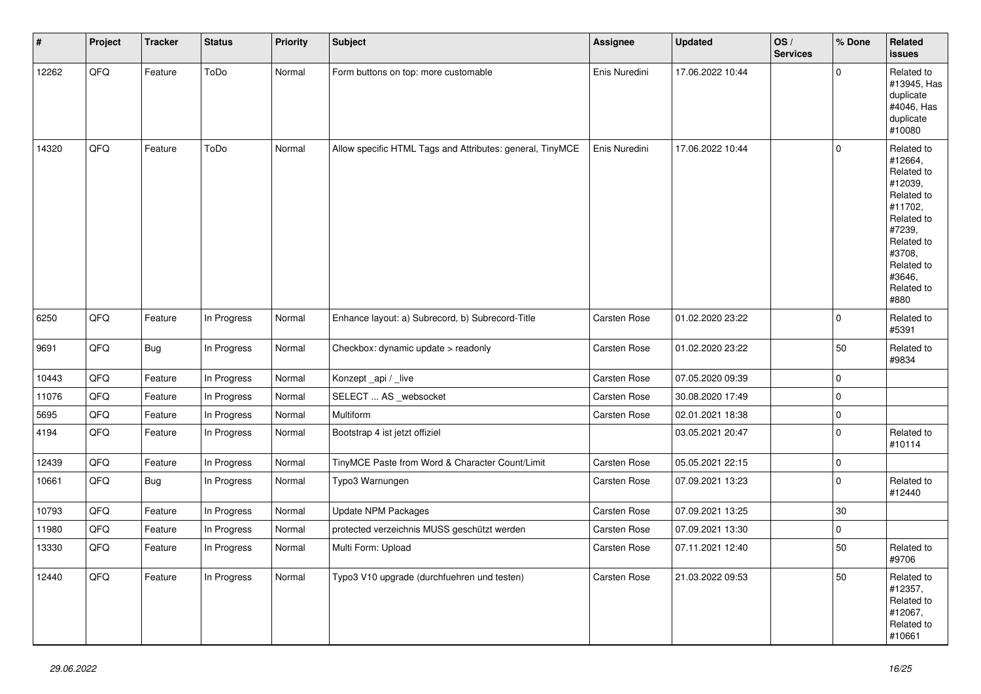| $\vert$ # | Project | <b>Tracker</b> | <b>Status</b> | <b>Priority</b> | <b>Subject</b>                                            | Assignee            | <b>Updated</b>   | OS/<br><b>Services</b> | % Done      | Related<br><b>issues</b>                                                                                                                                              |
|-----------|---------|----------------|---------------|-----------------|-----------------------------------------------------------|---------------------|------------------|------------------------|-------------|-----------------------------------------------------------------------------------------------------------------------------------------------------------------------|
| 12262     | QFQ     | Feature        | ToDo          | Normal          | Form buttons on top: more customable                      | Enis Nuredini       | 17.06.2022 10:44 |                        | $\Omega$    | Related to<br>#13945, Has<br>duplicate<br>#4046, Has<br>duplicate<br>#10080                                                                                           |
| 14320     | QFQ     | Feature        | ToDo          | Normal          | Allow specific HTML Tags and Attributes: general, TinyMCE | Enis Nuredini       | 17.06.2022 10:44 |                        | $\mathbf 0$ | Related to<br>#12664,<br>Related to<br>#12039,<br>Related to<br>#11702,<br>Related to<br>#7239,<br>Related to<br>#3708,<br>Related to<br>#3646,<br>Related to<br>#880 |
| 6250      | QFQ     | Feature        | In Progress   | Normal          | Enhance layout: a) Subrecord, b) Subrecord-Title          | Carsten Rose        | 01.02.2020 23:22 |                        | $\mathbf 0$ | Related to<br>#5391                                                                                                                                                   |
| 9691      | QFQ     | Bug            | In Progress   | Normal          | Checkbox: dynamic update > readonly                       | Carsten Rose        | 01.02.2020 23:22 |                        | 50          | Related to<br>#9834                                                                                                                                                   |
| 10443     | QFQ     | Feature        | In Progress   | Normal          | Konzept_api / _live                                       | Carsten Rose        | 07.05.2020 09:39 |                        | $\pmb{0}$   |                                                                                                                                                                       |
| 11076     | QFQ     | Feature        | In Progress   | Normal          | SELECT  AS _websocket                                     | Carsten Rose        | 30.08.2020 17:49 |                        | $\pmb{0}$   |                                                                                                                                                                       |
| 5695      | QFQ     | Feature        | In Progress   | Normal          | Multiform                                                 | Carsten Rose        | 02.01.2021 18:38 |                        | $\pmb{0}$   |                                                                                                                                                                       |
| 4194      | QFQ     | Feature        | In Progress   | Normal          | Bootstrap 4 ist jetzt offiziel                            |                     | 03.05.2021 20:47 |                        | $\mathbf 0$ | Related to<br>#10114                                                                                                                                                  |
| 12439     | QFQ     | Feature        | In Progress   | Normal          | TinyMCE Paste from Word & Character Count/Limit           | Carsten Rose        | 05.05.2021 22:15 |                        | $\pmb{0}$   |                                                                                                                                                                       |
| 10661     | QFQ     | <b>Bug</b>     | In Progress   | Normal          | Typo3 Warnungen                                           | Carsten Rose        | 07.09.2021 13:23 |                        | $\pmb{0}$   | Related to<br>#12440                                                                                                                                                  |
| 10793     | QFQ     | Feature        | In Progress   | Normal          | <b>Update NPM Packages</b>                                | Carsten Rose        | 07.09.2021 13:25 |                        | $30\,$      |                                                                                                                                                                       |
| 11980     | QFQ     | Feature        | In Progress   | Normal          | protected verzeichnis MUSS geschützt werden               | <b>Carsten Rose</b> | 07.09.2021 13:30 |                        | $\mathbf 0$ |                                                                                                                                                                       |
| 13330     | QFQ     | Feature        | In Progress   | Normal          | Multi Form: Upload                                        | Carsten Rose        | 07.11.2021 12:40 |                        | 50          | Related to<br>#9706                                                                                                                                                   |
| 12440     | QFQ     | Feature        | In Progress   | Normal          | Typo3 V10 upgrade (durchfuehren und testen)               | Carsten Rose        | 21.03.2022 09:53 |                        | 50          | Related to<br>#12357,<br>Related to<br>#12067,<br>Related to<br>#10661                                                                                                |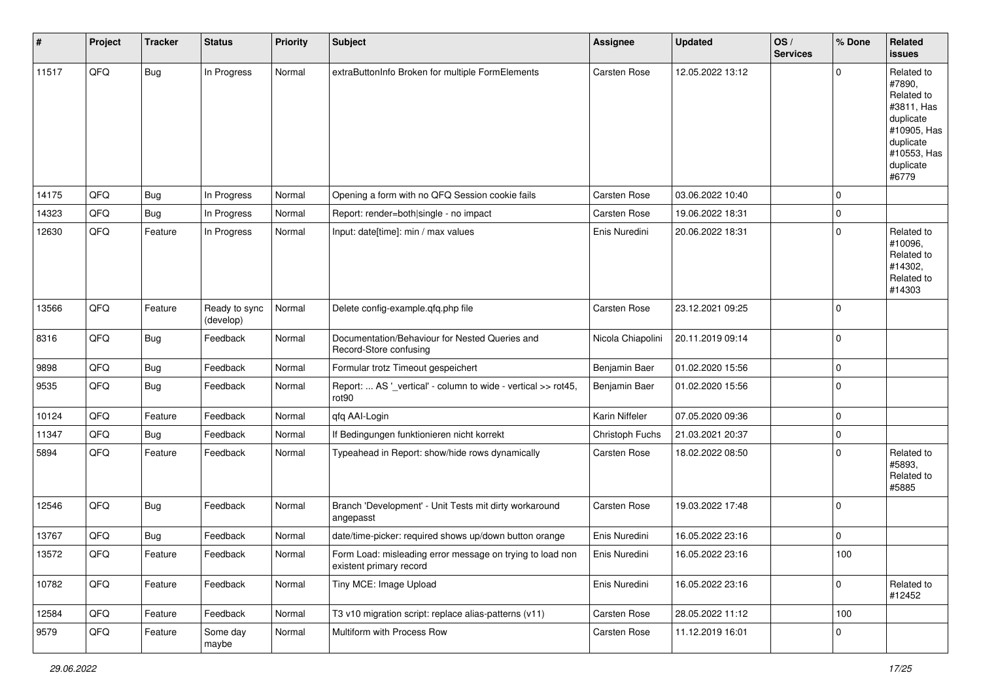| #     | Project | <b>Tracker</b> | <b>Status</b>              | <b>Priority</b> | <b>Subject</b>                                                                       | Assignee            | <b>Updated</b>   | OS/<br><b>Services</b> | % Done      | Related<br><b>issues</b>                                                                                                       |
|-------|---------|----------------|----------------------------|-----------------|--------------------------------------------------------------------------------------|---------------------|------------------|------------------------|-------------|--------------------------------------------------------------------------------------------------------------------------------|
| 11517 | QFO     | <b>Bug</b>     | In Progress                | Normal          | extraButtonInfo Broken for multiple FormElements                                     | Carsten Rose        | 12.05.2022 13:12 |                        | $\Omega$    | Related to<br>#7890,<br>Related to<br>#3811, Has<br>duplicate<br>#10905, Has<br>duplicate<br>#10553, Has<br>duplicate<br>#6779 |
| 14175 | QFQ     | <b>Bug</b>     | In Progress                | Normal          | Opening a form with no QFQ Session cookie fails                                      | Carsten Rose        | 03.06.2022 10:40 |                        | $\Omega$    |                                                                                                                                |
| 14323 | QFQ     | Bug            | In Progress                | Normal          | Report: render=both single - no impact                                               | Carsten Rose        | 19.06.2022 18:31 |                        | $\mathbf 0$ |                                                                                                                                |
| 12630 | QFQ     | Feature        | In Progress                | Normal          | Input: date[time]: min / max values                                                  | Enis Nuredini       | 20.06.2022 18:31 |                        | $\Omega$    | Related to<br>#10096,<br>Related to<br>#14302,<br>Related to<br>#14303                                                         |
| 13566 | QFQ     | Feature        | Ready to sync<br>(develop) | Normal          | Delete config-example.qfq.php file                                                   | Carsten Rose        | 23.12.2021 09:25 |                        | 0           |                                                                                                                                |
| 8316  | QFQ     | Bug            | Feedback                   | Normal          | Documentation/Behaviour for Nested Queries and<br>Record-Store confusing             | Nicola Chiapolini   | 20.11.2019 09:14 |                        | 0           |                                                                                                                                |
| 9898  | QFQ     | <b>Bug</b>     | Feedback                   | Normal          | Formular trotz Timeout gespeichert                                                   | Benjamin Baer       | 01.02.2020 15:56 |                        | $\mathbf 0$ |                                                                                                                                |
| 9535  | QFQ     | <b>Bug</b>     | Feedback                   | Normal          | Report:  AS '_vertical' - column to wide - vertical >> rot45,<br>rot90               | Benjamin Baer       | 01.02.2020 15:56 |                        | $\Omega$    |                                                                                                                                |
| 10124 | QFQ     | Feature        | Feedback                   | Normal          | qfq AAI-Login                                                                        | Karin Niffeler      | 07.05.2020 09:36 |                        | $\mathbf 0$ |                                                                                                                                |
| 11347 | QFQ     | Bug            | Feedback                   | Normal          | If Bedingungen funktionieren nicht korrekt                                           | Christoph Fuchs     | 21.03.2021 20:37 |                        | 0           |                                                                                                                                |
| 5894  | QFQ     | Feature        | Feedback                   | Normal          | Typeahead in Report: show/hide rows dynamically                                      | <b>Carsten Rose</b> | 18.02.2022 08:50 |                        | $\Omega$    | Related to<br>#5893.<br>Related to<br>#5885                                                                                    |
| 12546 | QFQ     | Bug            | Feedback                   | Normal          | Branch 'Development' - Unit Tests mit dirty workaround<br>angepasst                  | Carsten Rose        | 19.03.2022 17:48 |                        | $\Omega$    |                                                                                                                                |
| 13767 | QFQ     | <b>Bug</b>     | Feedback                   | Normal          | date/time-picker: required shows up/down button orange                               | Enis Nuredini       | 16.05.2022 23:16 |                        | $\mathbf 0$ |                                                                                                                                |
| 13572 | QFG     | Feature        | Feedback                   | Normal          | Form Load: misleading error message on trying to load non<br>existent primary record | Enis Nuredini       | 16.05.2022 23:16 |                        | 100         |                                                                                                                                |
| 10782 | QFQ     | Feature        | Feedback                   | Normal          | Tiny MCE: Image Upload                                                               | Enis Nuredini       | 16.05.2022 23:16 |                        | $\mathbf 0$ | Related to<br>#12452                                                                                                           |
| 12584 | QFQ     | Feature        | Feedback                   | Normal          | T3 v10 migration script: replace alias-patterns (v11)                                | Carsten Rose        | 28.05.2022 11:12 |                        | 100         |                                                                                                                                |
| 9579  | QFO     | Feature        | Some day<br>maybe          | Normal          | Multiform with Process Row                                                           | Carsten Rose        | 11.12.2019 16:01 |                        | 0           |                                                                                                                                |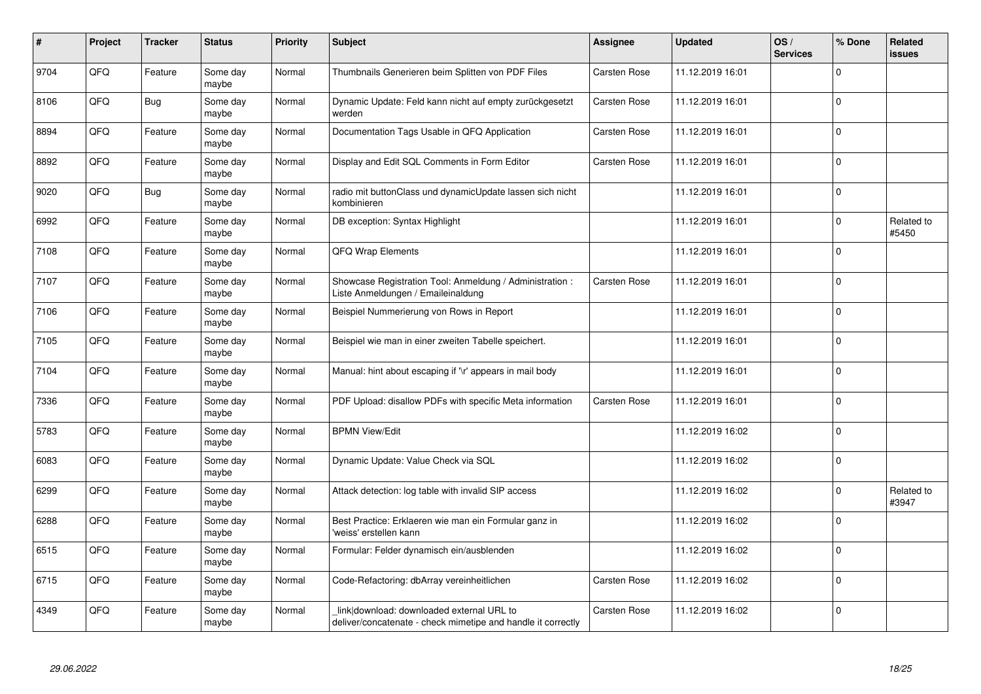| #    | Project | <b>Tracker</b> | <b>Status</b>     | <b>Priority</b> | <b>Subject</b>                                                                                            | <b>Assignee</b> | <b>Updated</b>   | OS/<br><b>Services</b> | % Done      | Related<br><b>issues</b> |
|------|---------|----------------|-------------------|-----------------|-----------------------------------------------------------------------------------------------------------|-----------------|------------------|------------------------|-------------|--------------------------|
| 9704 | QFQ     | Feature        | Some day<br>maybe | Normal          | Thumbnails Generieren beim Splitten von PDF Files                                                         | Carsten Rose    | 11.12.2019 16:01 |                        | $\Omega$    |                          |
| 8106 | QFQ     | Bug            | Some day<br>maybe | Normal          | Dynamic Update: Feld kann nicht auf empty zurückgesetzt<br>werden                                         | Carsten Rose    | 11.12.2019 16:01 |                        | $\mathbf 0$ |                          |
| 8894 | QFQ     | Feature        | Some day<br>maybe | Normal          | Documentation Tags Usable in QFQ Application                                                              | Carsten Rose    | 11.12.2019 16:01 |                        | $\mathbf 0$ |                          |
| 8892 | QFQ     | Feature        | Some day<br>maybe | Normal          | Display and Edit SQL Comments in Form Editor                                                              | Carsten Rose    | 11.12.2019 16:01 |                        | $\Omega$    |                          |
| 9020 | QFQ     | Bug            | Some day<br>maybe | Normal          | radio mit buttonClass und dynamicUpdate lassen sich nicht<br>kombinieren                                  |                 | 11.12.2019 16:01 |                        | $\mathbf 0$ |                          |
| 6992 | QFQ     | Feature        | Some day<br>maybe | Normal          | DB exception: Syntax Highlight                                                                            |                 | 11.12.2019 16:01 |                        | $\mathbf 0$ | Related to<br>#5450      |
| 7108 | QFQ     | Feature        | Some day<br>maybe | Normal          | QFQ Wrap Elements                                                                                         |                 | 11.12.2019 16:01 |                        | $\Omega$    |                          |
| 7107 | QFQ     | Feature        | Some day<br>maybe | Normal          | Showcase Registration Tool: Anmeldung / Administration :<br>Liste Anmeldungen / Emaileinaldung            | Carsten Rose    | 11.12.2019 16:01 |                        | $\Omega$    |                          |
| 7106 | QFQ     | Feature        | Some day<br>maybe | Normal          | Beispiel Nummerierung von Rows in Report                                                                  |                 | 11.12.2019 16:01 |                        | $\Omega$    |                          |
| 7105 | QFQ     | Feature        | Some day<br>maybe | Normal          | Beispiel wie man in einer zweiten Tabelle speichert.                                                      |                 | 11.12.2019 16:01 |                        | $\mathbf 0$ |                          |
| 7104 | QFQ     | Feature        | Some day<br>maybe | Normal          | Manual: hint about escaping if '\r' appears in mail body                                                  |                 | 11.12.2019 16:01 |                        | $\Omega$    |                          |
| 7336 | QFQ     | Feature        | Some day<br>maybe | Normal          | PDF Upload: disallow PDFs with specific Meta information                                                  | Carsten Rose    | 11.12.2019 16:01 |                        | $\Omega$    |                          |
| 5783 | QFQ     | Feature        | Some day<br>maybe | Normal          | <b>BPMN View/Edit</b>                                                                                     |                 | 11.12.2019 16:02 |                        | $\pmb{0}$   |                          |
| 6083 | QFQ     | Feature        | Some day<br>maybe | Normal          | Dynamic Update: Value Check via SQL                                                                       |                 | 11.12.2019 16:02 |                        | $\Omega$    |                          |
| 6299 | QFQ     | Feature        | Some day<br>maybe | Normal          | Attack detection: log table with invalid SIP access                                                       |                 | 11.12.2019 16:02 |                        | $\Omega$    | Related to<br>#3947      |
| 6288 | QFQ     | Feature        | Some day<br>maybe | Normal          | Best Practice: Erklaeren wie man ein Formular ganz in<br>weiss' erstellen kann                            |                 | 11.12.2019 16:02 |                        | $\Omega$    |                          |
| 6515 | QFQ     | Feature        | Some day<br>maybe | Normal          | Formular: Felder dynamisch ein/ausblenden                                                                 |                 | 11.12.2019 16:02 |                        | $\mathbf 0$ |                          |
| 6715 | QFQ     | Feature        | Some day<br>maybe | Normal          | Code-Refactoring: dbArray vereinheitlichen                                                                | Carsten Rose    | 11.12.2019 16:02 |                        | $\Omega$    |                          |
| 4349 | QFQ     | Feature        | Some day<br>maybe | Normal          | link download: downloaded external URL to<br>deliver/concatenate - check mimetipe and handle it correctly | Carsten Rose    | 11.12.2019 16:02 |                        | $\Omega$    |                          |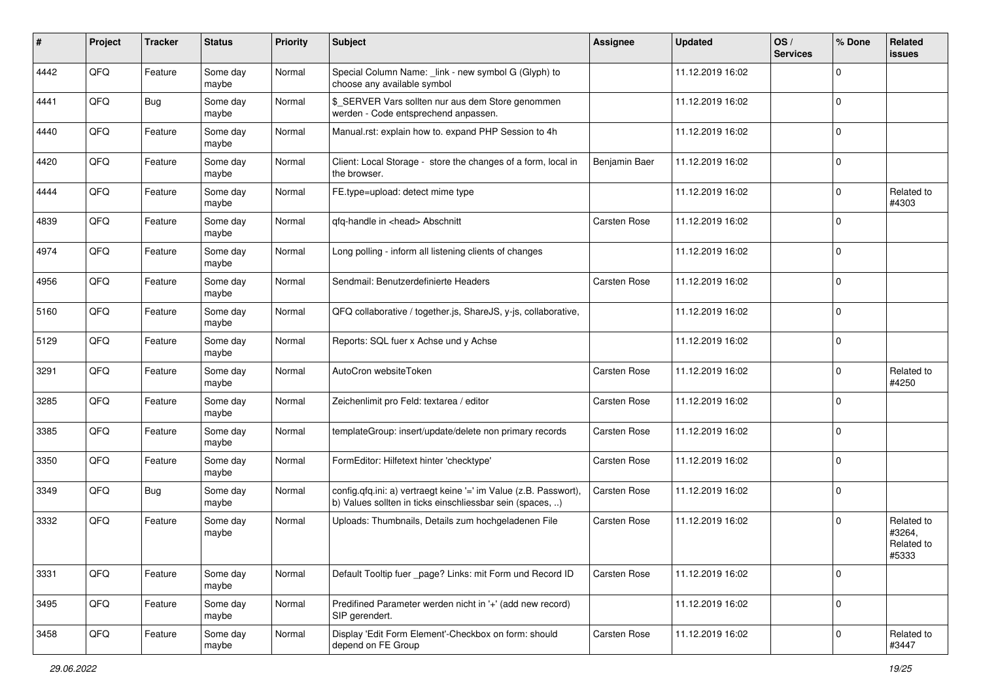| ∦    | Project | <b>Tracker</b> | <b>Status</b>     | <b>Priority</b> | Subject                                                                                                                       | Assignee      | <b>Updated</b>   | OS/<br><b>Services</b> | % Done      | Related<br><b>issues</b>                    |
|------|---------|----------------|-------------------|-----------------|-------------------------------------------------------------------------------------------------------------------------------|---------------|------------------|------------------------|-------------|---------------------------------------------|
| 4442 | QFQ     | Feature        | Some day<br>maybe | Normal          | Special Column Name: _link - new symbol G (Glyph) to<br>choose any available symbol                                           |               | 11.12.2019 16:02 |                        | $\Omega$    |                                             |
| 4441 | QFQ     | Bug            | Some day<br>maybe | Normal          | \$_SERVER Vars sollten nur aus dem Store genommen<br>werden - Code entsprechend anpassen.                                     |               | 11.12.2019 16:02 |                        | $\mathbf 0$ |                                             |
| 4440 | QFQ     | Feature        | Some day<br>maybe | Normal          | Manual.rst: explain how to. expand PHP Session to 4h                                                                          |               | 11.12.2019 16:02 |                        | $\Omega$    |                                             |
| 4420 | QFQ     | Feature        | Some day<br>maybe | Normal          | Client: Local Storage - store the changes of a form, local in<br>the browser.                                                 | Benjamin Baer | 11.12.2019 16:02 |                        | $\mathbf 0$ |                                             |
| 4444 | QFQ     | Feature        | Some day<br>maybe | Normal          | FE.type=upload: detect mime type                                                                                              |               | 11.12.2019 16:02 |                        | 0           | Related to<br>#4303                         |
| 4839 | QFQ     | Feature        | Some day<br>maybe | Normal          | qfq-handle in <head> Abschnitt</head>                                                                                         | Carsten Rose  | 11.12.2019 16:02 |                        | $\Omega$    |                                             |
| 4974 | QFQ     | Feature        | Some day<br>maybe | Normal          | Long polling - inform all listening clients of changes                                                                        |               | 11.12.2019 16:02 |                        | $\Omega$    |                                             |
| 4956 | QFQ     | Feature        | Some day<br>maybe | Normal          | Sendmail: Benutzerdefinierte Headers                                                                                          | Carsten Rose  | 11.12.2019 16:02 |                        | $\Omega$    |                                             |
| 5160 | QFQ     | Feature        | Some day<br>maybe | Normal          | QFQ collaborative / together.js, ShareJS, y-js, collaborative,                                                                |               | 11.12.2019 16:02 |                        | $\mathbf 0$ |                                             |
| 5129 | QFQ     | Feature        | Some day<br>maybe | Normal          | Reports: SQL fuer x Achse und y Achse                                                                                         |               | 11.12.2019 16:02 |                        | $\Omega$    |                                             |
| 3291 | QFQ     | Feature        | Some day<br>maybe | Normal          | AutoCron websiteToken                                                                                                         | Carsten Rose  | 11.12.2019 16:02 |                        | $\mathbf 0$ | Related to<br>#4250                         |
| 3285 | QFQ     | Feature        | Some day<br>maybe | Normal          | Zeichenlimit pro Feld: textarea / editor                                                                                      | Carsten Rose  | 11.12.2019 16:02 |                        | $\Omega$    |                                             |
| 3385 | QFQ     | Feature        | Some day<br>maybe | Normal          | templateGroup: insert/update/delete non primary records                                                                       | Carsten Rose  | 11.12.2019 16:02 |                        | $\Omega$    |                                             |
| 3350 | QFQ     | Feature        | Some day<br>maybe | Normal          | FormEditor: Hilfetext hinter 'checktype'                                                                                      | Carsten Rose  | 11.12.2019 16:02 |                        | $\Omega$    |                                             |
| 3349 | QFQ     | <b>Bug</b>     | Some day<br>maybe | Normal          | config.qfq.ini: a) vertraegt keine '=' im Value (z.B. Passwort),<br>b) Values sollten in ticks einschliessbar sein (spaces, ) | Carsten Rose  | 11.12.2019 16:02 |                        | $\mathbf 0$ |                                             |
| 3332 | QFQ     | Feature        | Some day<br>maybe | Normal          | Uploads: Thumbnails, Details zum hochgeladenen File                                                                           | Carsten Rose  | 11.12.2019 16:02 |                        | $\Omega$    | Related to<br>#3264,<br>Related to<br>#5333 |
| 3331 | QFQ     | Feature        | Some day<br>maybe | Normal          | Default Tooltip fuer _page? Links: mit Form und Record ID                                                                     | Carsten Rose  | 11.12.2019 16:02 |                        | $\mathbf 0$ |                                             |
| 3495 | QFQ     | Feature        | Some day<br>maybe | Normal          | Predifined Parameter werden nicht in '+' (add new record)<br>SIP gerendert.                                                   |               | 11.12.2019 16:02 |                        | $\mathbf 0$ |                                             |
| 3458 | QFO     | Feature        | Some day<br>maybe | Normal          | Display 'Edit Form Element'-Checkbox on form: should<br>depend on FE Group                                                    | Carsten Rose  | 11.12.2019 16:02 |                        | $\mathbf 0$ | Related to<br>#3447                         |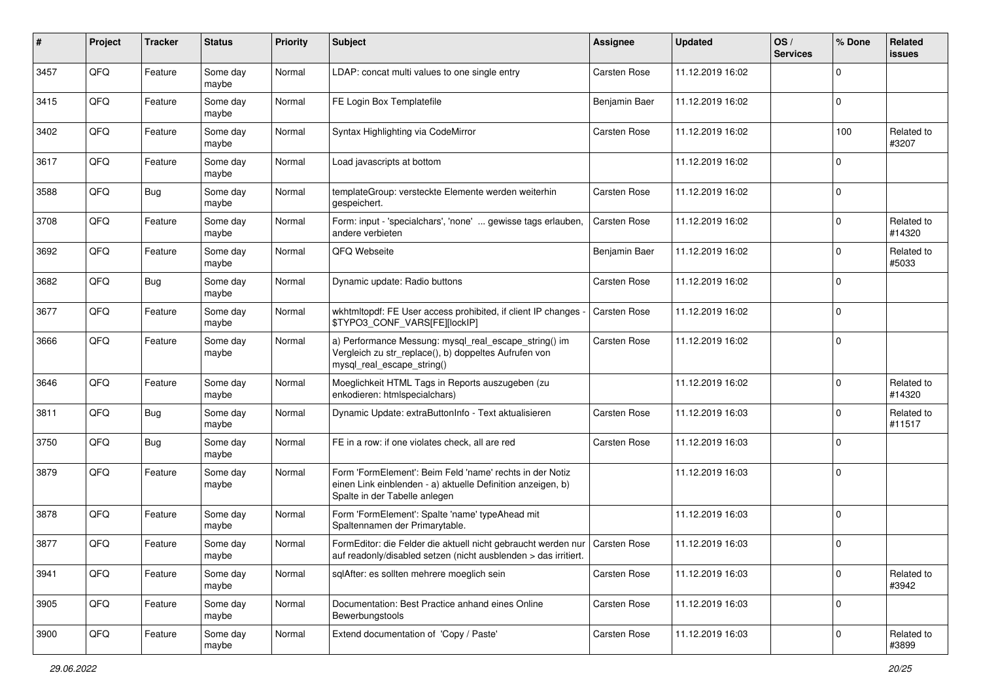| $\#$ | Project | <b>Tracker</b> | <b>Status</b>     | <b>Priority</b> | <b>Subject</b>                                                                                                                                           | Assignee            | <b>Updated</b>   | OS/<br><b>Services</b> | % Done      | Related<br><b>issues</b> |
|------|---------|----------------|-------------------|-----------------|----------------------------------------------------------------------------------------------------------------------------------------------------------|---------------------|------------------|------------------------|-------------|--------------------------|
| 3457 | QFQ     | Feature        | Some day<br>maybe | Normal          | LDAP: concat multi values to one single entry                                                                                                            | <b>Carsten Rose</b> | 11.12.2019 16:02 |                        | $\Omega$    |                          |
| 3415 | QFQ     | Feature        | Some day<br>maybe | Normal          | FE Login Box Templatefile                                                                                                                                | Benjamin Baer       | 11.12.2019 16:02 |                        | $\mathbf 0$ |                          |
| 3402 | QFQ     | Feature        | Some day<br>maybe | Normal          | Syntax Highlighting via CodeMirror                                                                                                                       | Carsten Rose        | 11.12.2019 16:02 |                        | 100         | Related to<br>#3207      |
| 3617 | QFQ     | Feature        | Some day<br>maybe | Normal          | Load javascripts at bottom                                                                                                                               |                     | 11.12.2019 16:02 |                        | $\mathbf 0$ |                          |
| 3588 | QFQ     | Bug            | Some day<br>maybe | Normal          | templateGroup: versteckte Elemente werden weiterhin<br>gespeichert.                                                                                      | Carsten Rose        | 11.12.2019 16:02 |                        | $\mathbf 0$ |                          |
| 3708 | QFQ     | Feature        | Some day<br>maybe | Normal          | Form: input - 'specialchars', 'none'  gewisse tags erlauben,<br>andere verbieten                                                                         | Carsten Rose        | 11.12.2019 16:02 |                        | $\Omega$    | Related to<br>#14320     |
| 3692 | QFQ     | Feature        | Some day<br>maybe | Normal          | QFQ Webseite                                                                                                                                             | Benjamin Baer       | 11.12.2019 16:02 |                        | $\Omega$    | Related to<br>#5033      |
| 3682 | QFQ     | Bug            | Some day<br>maybe | Normal          | Dynamic update: Radio buttons                                                                                                                            | Carsten Rose        | 11.12.2019 16:02 |                        | $\mathbf 0$ |                          |
| 3677 | QFQ     | Feature        | Some day<br>maybe | Normal          | wkhtmltopdf: FE User access prohibited, if client IP changes -<br>\$TYPO3_CONF_VARS[FE][lockIP]                                                          | <b>Carsten Rose</b> | 11.12.2019 16:02 |                        | 0           |                          |
| 3666 | QFQ     | Feature        | Some day<br>maybe | Normal          | a) Performance Messung: mysql_real_escape_string() im<br>Vergleich zu str_replace(), b) doppeltes Aufrufen von<br>mysql_real_escape_string()             | Carsten Rose        | 11.12.2019 16:02 |                        | $\mathbf 0$ |                          |
| 3646 | QFQ     | Feature        | Some day<br>maybe | Normal          | Moeglichkeit HTML Tags in Reports auszugeben (zu<br>enkodieren: htmlspecialchars)                                                                        |                     | 11.12.2019 16:02 |                        | $\Omega$    | Related to<br>#14320     |
| 3811 | QFQ     | Bug            | Some day<br>maybe | Normal          | Dynamic Update: extraButtonInfo - Text aktualisieren                                                                                                     | Carsten Rose        | 11.12.2019 16:03 |                        | $\Omega$    | Related to<br>#11517     |
| 3750 | QFQ     | Bug            | Some day<br>maybe | Normal          | FE in a row: if one violates check, all are red                                                                                                          | Carsten Rose        | 11.12.2019 16:03 |                        | $\mathbf 0$ |                          |
| 3879 | QFQ     | Feature        | Some day<br>maybe | Normal          | Form 'FormElement': Beim Feld 'name' rechts in der Notiz<br>einen Link einblenden - a) aktuelle Definition anzeigen, b)<br>Spalte in der Tabelle anlegen |                     | 11.12.2019 16:03 |                        | $\mathbf 0$ |                          |
| 3878 | QFQ     | Feature        | Some day<br>maybe | Normal          | Form 'FormElement': Spalte 'name' typeAhead mit<br>Spaltennamen der Primarytable.                                                                        |                     | 11.12.2019 16:03 |                        | $\mathbf 0$ |                          |
| 3877 | QFQ     | Feature        | Some day<br>maybe | Normal          | FormEditor: die Felder die aktuell nicht gebraucht werden nur   Carsten Rose<br>auf readonly/disabled setzen (nicht ausblenden > das irritiert.          |                     | 11.12.2019 16:03 |                        | $\mathbf 0$ |                          |
| 3941 | QFQ     | Feature        | Some day<br>maybe | Normal          | sqlAfter: es sollten mehrere moeglich sein                                                                                                               | Carsten Rose        | 11.12.2019 16:03 |                        | $\mathbf 0$ | Related to<br>#3942      |
| 3905 | QFQ     | Feature        | Some day<br>maybe | Normal          | Documentation: Best Practice anhand eines Online<br>Bewerbungstools                                                                                      | Carsten Rose        | 11.12.2019 16:03 |                        | 0           |                          |
| 3900 | QFQ     | Feature        | Some day<br>maybe | Normal          | Extend documentation of 'Copy / Paste'                                                                                                                   | Carsten Rose        | 11.12.2019 16:03 |                        | $\mathbf 0$ | Related to<br>#3899      |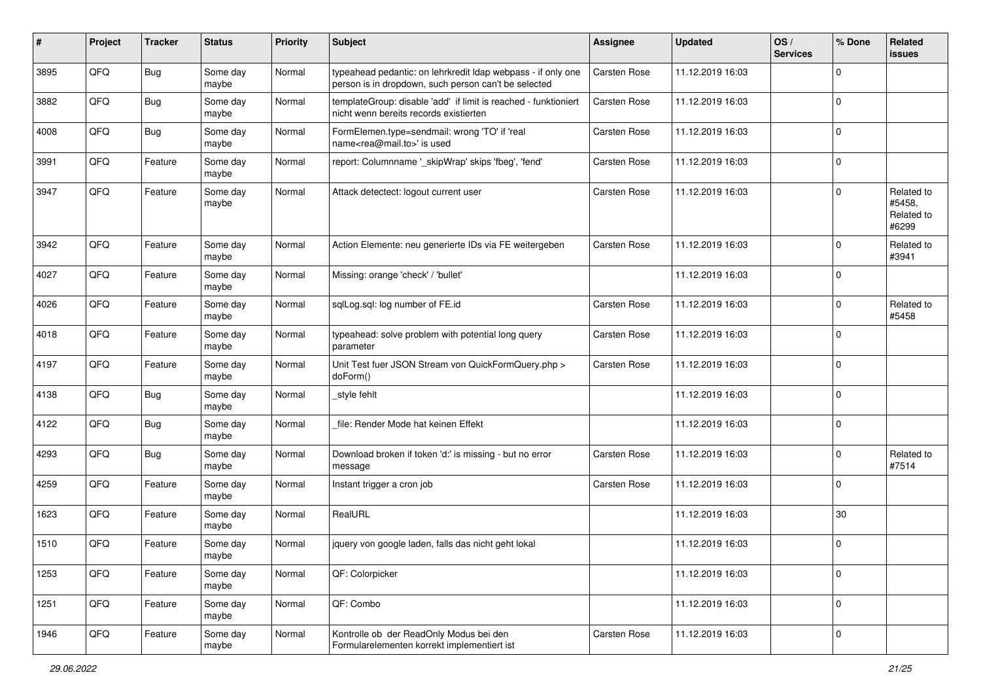| #    | Project | <b>Tracker</b> | <b>Status</b>     | <b>Priority</b> | <b>Subject</b>                                                                                                       | <b>Assignee</b> | <b>Updated</b>   | OS/<br><b>Services</b> | % Done      | Related<br><b>issues</b>                    |
|------|---------|----------------|-------------------|-----------------|----------------------------------------------------------------------------------------------------------------------|-----------------|------------------|------------------------|-------------|---------------------------------------------|
| 3895 | QFQ     | Bug            | Some day<br>maybe | Normal          | typeahead pedantic: on lehrkredit Idap webpass - if only one<br>person is in dropdown, such person can't be selected | Carsten Rose    | 11.12.2019 16:03 |                        | $\mathbf 0$ |                                             |
| 3882 | QFQ     | Bug            | Some day<br>maybe | Normal          | templateGroup: disable 'add' if limit is reached - funktioniert<br>nicht wenn bereits records existierten            | Carsten Rose    | 11.12.2019 16:03 |                        | $\mathbf 0$ |                                             |
| 4008 | QFQ     | Bug            | Some day<br>maybe | Normal          | FormElemen.type=sendmail: wrong 'TO' if 'real<br>name <rea@mail.to>' is used</rea@mail.to>                           | Carsten Rose    | 11.12.2019 16:03 |                        | $\Omega$    |                                             |
| 3991 | QFQ     | Feature        | Some day<br>maybe | Normal          | report: Columnname '_skipWrap' skips 'fbeg', 'fend'                                                                  | Carsten Rose    | 11.12.2019 16:03 |                        | $\mathbf 0$ |                                             |
| 3947 | QFQ     | Feature        | Some day<br>maybe | Normal          | Attack detectect: logout current user                                                                                | Carsten Rose    | 11.12.2019 16:03 |                        | $\mathbf 0$ | Related to<br>#5458,<br>Related to<br>#6299 |
| 3942 | QFQ     | Feature        | Some day<br>maybe | Normal          | Action Elemente: neu generierte IDs via FE weitergeben                                                               | Carsten Rose    | 11.12.2019 16:03 |                        | $\Omega$    | Related to<br>#3941                         |
| 4027 | QFQ     | Feature        | Some day<br>maybe | Normal          | Missing: orange 'check' / 'bullet'                                                                                   |                 | 11.12.2019 16:03 |                        | $\mathbf 0$ |                                             |
| 4026 | QFQ     | Feature        | Some day<br>maybe | Normal          | sqlLog.sql: log number of FE.id                                                                                      | Carsten Rose    | 11.12.2019 16:03 |                        | $\Omega$    | Related to<br>#5458                         |
| 4018 | QFQ     | Feature        | Some day<br>maybe | Normal          | typeahead: solve problem with potential long query<br>parameter                                                      | Carsten Rose    | 11.12.2019 16:03 |                        | $\Omega$    |                                             |
| 4197 | QFQ     | Feature        | Some day<br>maybe | Normal          | Unit Test fuer JSON Stream von QuickFormQuery.php ><br>doForm()                                                      | Carsten Rose    | 11.12.2019 16:03 |                        | $\mathbf 0$ |                                             |
| 4138 | QFQ     | Bug            | Some day<br>maybe | Normal          | style fehlt                                                                                                          |                 | 11.12.2019 16:03 |                        | 0           |                                             |
| 4122 | QFQ     | Bug            | Some day<br>maybe | Normal          | file: Render Mode hat keinen Effekt                                                                                  |                 | 11.12.2019 16:03 |                        | $\Omega$    |                                             |
| 4293 | QFQ     | <b>Bug</b>     | Some day<br>maybe | Normal          | Download broken if token 'd:' is missing - but no error<br>message                                                   | Carsten Rose    | 11.12.2019 16:03 |                        | $\Omega$    | Related to<br>#7514                         |
| 4259 | QFQ     | Feature        | Some day<br>maybe | Normal          | Instant trigger a cron job                                                                                           | Carsten Rose    | 11.12.2019 16:03 |                        | $\Omega$    |                                             |
| 1623 | QFQ     | Feature        | Some day<br>maybe | Normal          | RealURL                                                                                                              |                 | 11.12.2019 16:03 |                        | 30          |                                             |
| 1510 | QFQ     | Feature        | Some day<br>maybe | Normal          | jquery von google laden, falls das nicht geht lokal                                                                  |                 | 11.12.2019 16:03 |                        | $\Omega$    |                                             |
| 1253 | QFQ     | Feature        | Some day<br>maybe | Normal          | QF: Colorpicker                                                                                                      |                 | 11.12.2019 16:03 |                        | $\mathbf 0$ |                                             |
| 1251 | QFQ     | Feature        | Some day<br>maybe | Normal          | QF: Combo                                                                                                            |                 | 11.12.2019 16:03 |                        | 0           |                                             |
| 1946 | QFQ     | Feature        | Some day<br>maybe | Normal          | Kontrolle ob der ReadOnly Modus bei den<br>Formularelementen korrekt implementiert ist                               | Carsten Rose    | 11.12.2019 16:03 |                        | $\mathbf 0$ |                                             |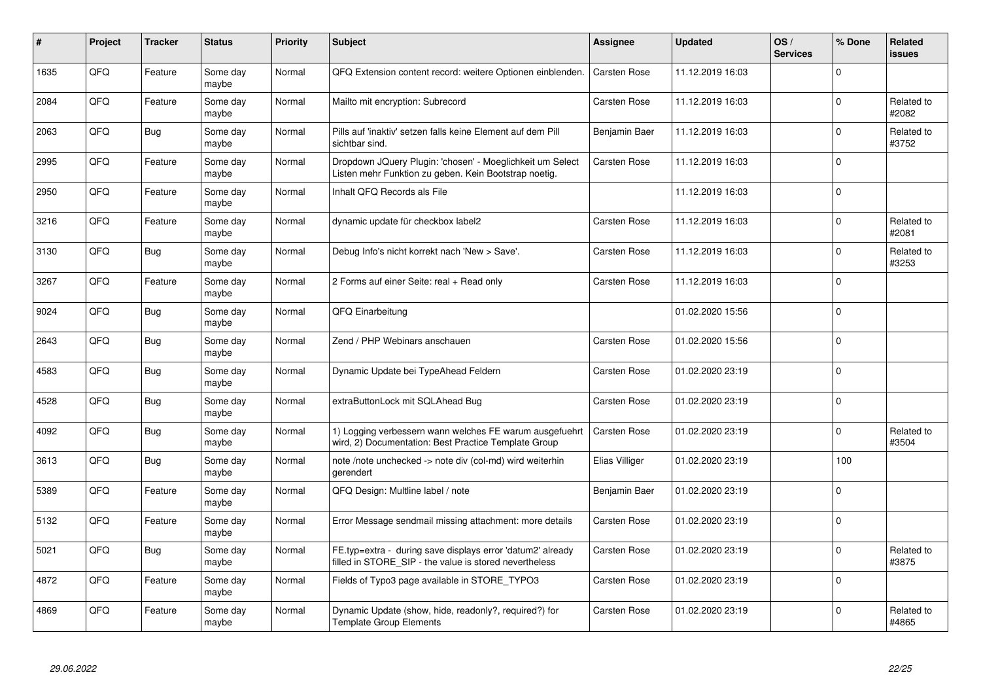| $\#$ | Project | <b>Tracker</b> | <b>Status</b>     | <b>Priority</b> | <b>Subject</b>                                                                                                       | Assignee            | <b>Updated</b>   | OS/<br><b>Services</b> | % Done      | <b>Related</b><br><b>issues</b> |
|------|---------|----------------|-------------------|-----------------|----------------------------------------------------------------------------------------------------------------------|---------------------|------------------|------------------------|-------------|---------------------------------|
| 1635 | QFQ     | Feature        | Some day<br>maybe | Normal          | QFQ Extension content record: weitere Optionen einblenden.                                                           | <b>Carsten Rose</b> | 11.12.2019 16:03 |                        | $\Omega$    |                                 |
| 2084 | QFQ     | Feature        | Some day<br>maybe | Normal          | Mailto mit encryption: Subrecord                                                                                     | Carsten Rose        | 11.12.2019 16:03 |                        | $\Omega$    | Related to<br>#2082             |
| 2063 | QFQ     | Bug            | Some day<br>maybe | Normal          | Pills auf 'inaktiv' setzen falls keine Element auf dem Pill<br>sichtbar sind.                                        | Benjamin Baer       | 11.12.2019 16:03 |                        | $\Omega$    | Related to<br>#3752             |
| 2995 | QFQ     | Feature        | Some day<br>maybe | Normal          | Dropdown JQuery Plugin: 'chosen' - Moeglichkeit um Select<br>Listen mehr Funktion zu geben. Kein Bootstrap noetig.   | Carsten Rose        | 11.12.2019 16:03 |                        | $\Omega$    |                                 |
| 2950 | QFQ     | Feature        | Some day<br>maybe | Normal          | Inhalt QFQ Records als File                                                                                          |                     | 11.12.2019 16:03 |                        | $\mathbf 0$ |                                 |
| 3216 | QFQ     | Feature        | Some day<br>maybe | Normal          | dynamic update für checkbox label2                                                                                   | Carsten Rose        | 11.12.2019 16:03 |                        | $\Omega$    | Related to<br>#2081             |
| 3130 | QFQ     | Bug            | Some day<br>maybe | Normal          | Debug Info's nicht korrekt nach 'New > Save'.                                                                        | Carsten Rose        | 11.12.2019 16:03 |                        | $\Omega$    | Related to<br>#3253             |
| 3267 | QFQ     | Feature        | Some day<br>maybe | Normal          | 2 Forms auf einer Seite: real + Read only                                                                            | Carsten Rose        | 11.12.2019 16:03 |                        | $\Omega$    |                                 |
| 9024 | QFQ     | <b>Bug</b>     | Some day<br>maybe | Normal          | QFQ Einarbeitung                                                                                                     |                     | 01.02.2020 15:56 |                        | $\Omega$    |                                 |
| 2643 | QFQ     | <b>Bug</b>     | Some day<br>maybe | Normal          | Zend / PHP Webinars anschauen                                                                                        | Carsten Rose        | 01.02.2020 15:56 |                        | $\Omega$    |                                 |
| 4583 | QFQ     | Bug            | Some day<br>maybe | Normal          | Dynamic Update bei TypeAhead Feldern                                                                                 | Carsten Rose        | 01.02.2020 23:19 |                        | $\mathbf 0$ |                                 |
| 4528 | QFQ     | <b>Bug</b>     | Some day<br>maybe | Normal          | extraButtonLock mit SQLAhead Bug                                                                                     | Carsten Rose        | 01.02.2020 23:19 |                        | $\Omega$    |                                 |
| 4092 | QFQ     | Bug            | Some day<br>maybe | Normal          | 1) Logging verbessern wann welches FE warum ausgefuehrt<br>wird, 2) Documentation: Best Practice Template Group      | Carsten Rose        | 01.02.2020 23:19 |                        | $\Omega$    | Related to<br>#3504             |
| 3613 | QFQ     | Bug            | Some day<br>maybe | Normal          | note /note unchecked -> note div (col-md) wird weiterhin<br>gerendert                                                | Elias Villiger      | 01.02.2020 23:19 |                        | 100         |                                 |
| 5389 | QFQ     | Feature        | Some day<br>maybe | Normal          | QFQ Design: Multline label / note                                                                                    | Benjamin Baer       | 01.02.2020 23:19 |                        | $\Omega$    |                                 |
| 5132 | QFQ     | Feature        | Some day<br>maybe | Normal          | Error Message sendmail missing attachment: more details                                                              | Carsten Rose        | 01.02.2020 23:19 |                        | $\Omega$    |                                 |
| 5021 | QFQ     | Bug            | Some day<br>maybe | Normal          | FE.typ=extra - during save displays error 'datum2' already<br>filled in STORE SIP - the value is stored nevertheless | Carsten Rose        | 01.02.2020 23:19 |                        | $\mathbf 0$ | Related to<br>#3875             |
| 4872 | QFQ     | Feature        | Some day<br>maybe | Normal          | Fields of Typo3 page available in STORE_TYPO3                                                                        | Carsten Rose        | 01.02.2020 23:19 |                        | $\Omega$    |                                 |
| 4869 | QFQ     | Feature        | Some day<br>maybe | Normal          | Dynamic Update (show, hide, readonly?, required?) for<br><b>Template Group Elements</b>                              | Carsten Rose        | 01.02.2020 23:19 |                        | $\Omega$    | Related to<br>#4865             |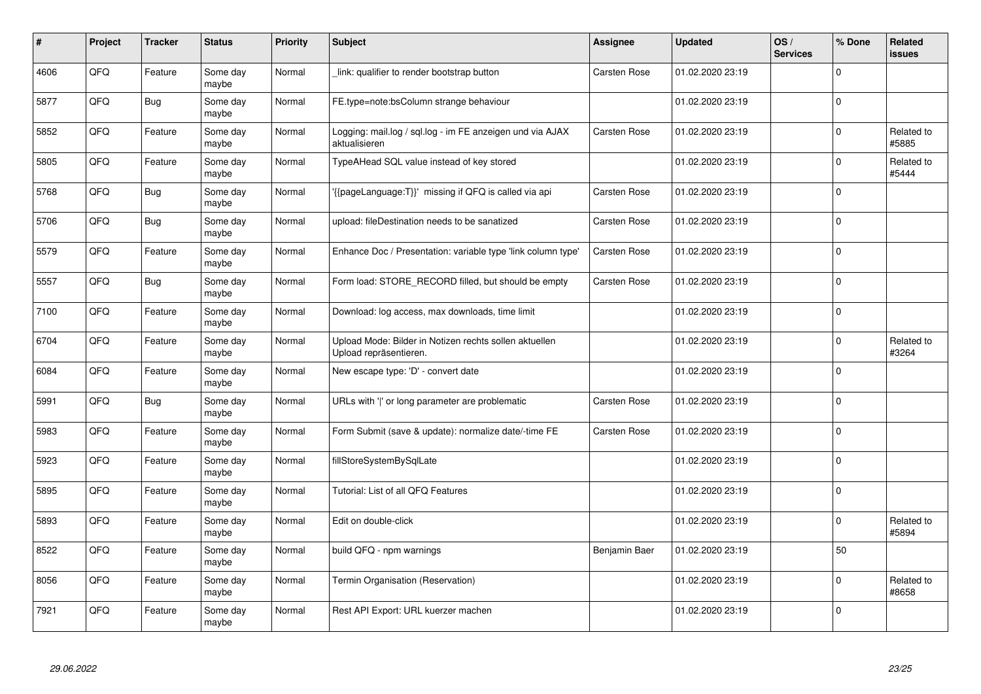| #    | Project | <b>Tracker</b> | <b>Status</b>     | <b>Priority</b> | <b>Subject</b>                                                                   | <b>Assignee</b> | <b>Updated</b>   | OS/<br><b>Services</b> | % Done      | Related<br><b>issues</b> |
|------|---------|----------------|-------------------|-----------------|----------------------------------------------------------------------------------|-----------------|------------------|------------------------|-------------|--------------------------|
| 4606 | QFQ     | Feature        | Some day<br>maybe | Normal          | link: qualifier to render bootstrap button                                       | Carsten Rose    | 01.02.2020 23:19 |                        | $\Omega$    |                          |
| 5877 | QFQ     | Bug            | Some day<br>maybe | Normal          | FE.type=note:bsColumn strange behaviour                                          |                 | 01.02.2020 23:19 |                        | $\mathbf 0$ |                          |
| 5852 | QFO     | Feature        | Some day<br>maybe | Normal          | Logging: mail.log / sql.log - im FE anzeigen und via AJAX<br>aktualisieren       | Carsten Rose    | 01.02.2020 23:19 |                        | $\Omega$    | Related to<br>#5885      |
| 5805 | QFQ     | Feature        | Some day<br>maybe | Normal          | TypeAHead SQL value instead of key stored                                        |                 | 01.02.2020 23:19 |                        | $\Omega$    | Related to<br>#5444      |
| 5768 | QFQ     | Bug            | Some day<br>maybe | Normal          | {{pageLanguage:T}}' missing if QFQ is called via api                             | Carsten Rose    | 01.02.2020 23:19 |                        | $\mathbf 0$ |                          |
| 5706 | QFQ     | <b>Bug</b>     | Some day<br>maybe | Normal          | upload: fileDestination needs to be sanatized                                    | Carsten Rose    | 01.02.2020 23:19 |                        | $\Omega$    |                          |
| 5579 | QFQ     | Feature        | Some day<br>maybe | Normal          | Enhance Doc / Presentation: variable type 'link column type'                     | Carsten Rose    | 01.02.2020 23:19 |                        | $\Omega$    |                          |
| 5557 | QFQ     | Bug            | Some day<br>maybe | Normal          | Form load: STORE RECORD filled, but should be empty                              | Carsten Rose    | 01.02.2020 23:19 |                        | $\Omega$    |                          |
| 7100 | QFQ     | Feature        | Some day<br>maybe | Normal          | Download: log access, max downloads, time limit                                  |                 | 01.02.2020 23:19 |                        | $\Omega$    |                          |
| 6704 | QFQ     | Feature        | Some day<br>maybe | Normal          | Upload Mode: Bilder in Notizen rechts sollen aktuellen<br>Upload repräsentieren. |                 | 01.02.2020 23:19 |                        | $\Omega$    | Related to<br>#3264      |
| 6084 | QFQ     | Feature        | Some day<br>maybe | Normal          | New escape type: 'D' - convert date                                              |                 | 01.02.2020 23:19 |                        | $\mathbf 0$ |                          |
| 5991 | QFQ     | <b>Bug</b>     | Some day<br>maybe | Normal          | URLs with ' ' or long parameter are problematic                                  | Carsten Rose    | 01.02.2020 23:19 |                        | $\mathbf 0$ |                          |
| 5983 | QFQ     | Feature        | Some day<br>maybe | Normal          | Form Submit (save & update): normalize date/-time FE                             | Carsten Rose    | 01.02.2020 23:19 |                        | $\mathbf 0$ |                          |
| 5923 | QFQ     | Feature        | Some day<br>maybe | Normal          | fillStoreSystemBySqlLate                                                         |                 | 01.02.2020 23:19 |                        | $\mathbf 0$ |                          |
| 5895 | QFQ     | Feature        | Some day<br>maybe | Normal          | Tutorial: List of all QFQ Features                                               |                 | 01.02.2020 23:19 |                        | $\Omega$    |                          |
| 5893 | QFQ     | Feature        | Some day<br>maybe | Normal          | Edit on double-click                                                             |                 | 01.02.2020 23:19 |                        | $\Omega$    | Related to<br>#5894      |
| 8522 | QFQ     | Feature        | Some day<br>maybe | Normal          | build QFQ - npm warnings                                                         | Benjamin Baer   | 01.02.2020 23:19 |                        | 50          |                          |
| 8056 | QFO     | Feature        | Some day<br>maybe | Normal          | Termin Organisation (Reservation)                                                |                 | 01.02.2020 23:19 |                        | $\Omega$    | Related to<br>#8658      |
| 7921 | QFQ     | Feature        | Some day<br>maybe | Normal          | Rest API Export: URL kuerzer machen                                              |                 | 01.02.2020 23:19 |                        | $\Omega$    |                          |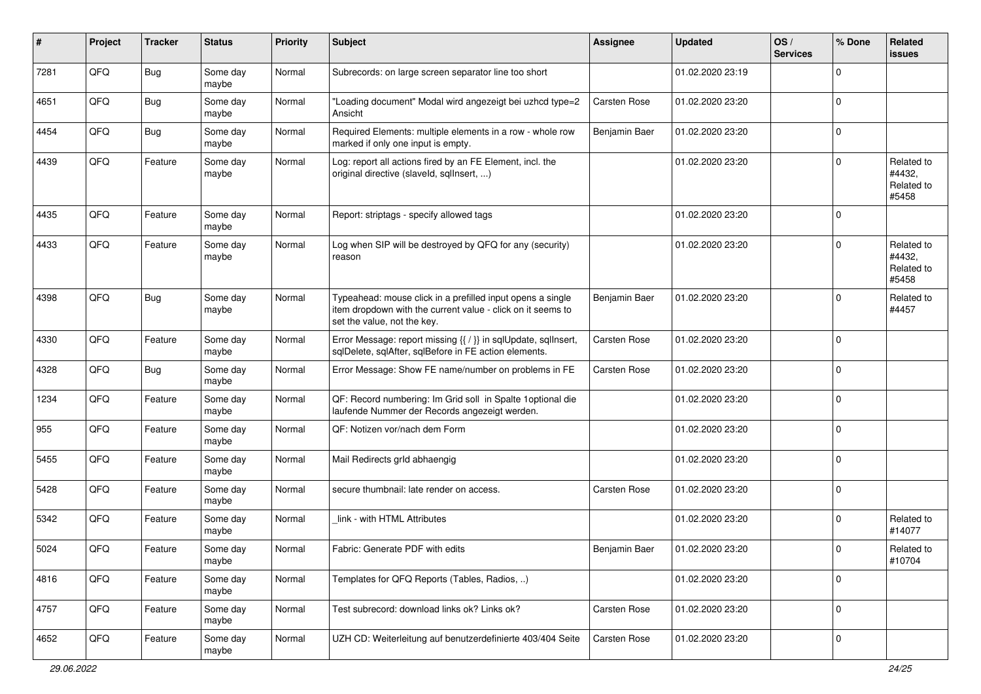| #    | Project | <b>Tracker</b> | <b>Status</b>     | <b>Priority</b> | <b>Subject</b>                                                                                                                                           | <b>Assignee</b>     | <b>Updated</b>   | OS/<br><b>Services</b> | % Done      | Related<br><b>issues</b>                    |
|------|---------|----------------|-------------------|-----------------|----------------------------------------------------------------------------------------------------------------------------------------------------------|---------------------|------------------|------------------------|-------------|---------------------------------------------|
| 7281 | QFQ     | Bug            | Some day<br>maybe | Normal          | Subrecords: on large screen separator line too short                                                                                                     |                     | 01.02.2020 23:19 |                        | $\mathbf 0$ |                                             |
| 4651 | QFQ     | Bug            | Some day<br>maybe | Normal          | "Loading document" Modal wird angezeigt bei uzhcd type=2<br>Ansicht                                                                                      | Carsten Rose        | 01.02.2020 23:20 |                        | $\mathbf 0$ |                                             |
| 4454 | QFQ     | <b>Bug</b>     | Some day<br>maybe | Normal          | Required Elements: multiple elements in a row - whole row<br>marked if only one input is empty.                                                          | Benjamin Baer       | 01.02.2020 23:20 |                        | $\Omega$    |                                             |
| 4439 | QFQ     | Feature        | Some day<br>maybe | Normal          | Log: report all actions fired by an FE Element, incl. the<br>original directive (slaveld, sqllnsert, )                                                   |                     | 01.02.2020 23:20 |                        | $\Omega$    | Related to<br>#4432,<br>Related to<br>#5458 |
| 4435 | QFQ     | Feature        | Some day<br>maybe | Normal          | Report: striptags - specify allowed tags                                                                                                                 |                     | 01.02.2020 23:20 |                        | $\Omega$    |                                             |
| 4433 | QFQ     | Feature        | Some day<br>maybe | Normal          | Log when SIP will be destroyed by QFQ for any (security)<br>reason                                                                                       |                     | 01.02.2020 23:20 |                        | $\Omega$    | Related to<br>#4432,<br>Related to<br>#5458 |
| 4398 | QFQ     | Bug            | Some day<br>maybe | Normal          | Typeahead: mouse click in a prefilled input opens a single<br>item dropdown with the current value - click on it seems to<br>set the value, not the key. | Benjamin Baer       | 01.02.2020 23:20 |                        | 0           | Related to<br>#4457                         |
| 4330 | QFQ     | Feature        | Some day<br>maybe | Normal          | Error Message: report missing {{ / }} in sqlUpdate, sqlInsert,<br>sqlDelete, sqlAfter, sqlBefore in FE action elements.                                  | Carsten Rose        | 01.02.2020 23:20 |                        | $\mathbf 0$ |                                             |
| 4328 | QFQ     | <b>Bug</b>     | Some day<br>maybe | Normal          | Error Message: Show FE name/number on problems in FE                                                                                                     | Carsten Rose        | 01.02.2020 23:20 |                        | $\Omega$    |                                             |
| 1234 | QFQ     | Feature        | Some day<br>maybe | Normal          | QF: Record numbering: Im Grid soll in Spalte 1 optional die<br>laufende Nummer der Records angezeigt werden.                                             |                     | 01.02.2020 23:20 |                        | $\mathbf 0$ |                                             |
| 955  | QFQ     | Feature        | Some day<br>maybe | Normal          | QF: Notizen vor/nach dem Form                                                                                                                            |                     | 01.02.2020 23:20 |                        | $\Omega$    |                                             |
| 5455 | QFQ     | Feature        | Some day<br>maybe | Normal          | Mail Redirects grld abhaengig                                                                                                                            |                     | 01.02.2020 23:20 |                        | $\Omega$    |                                             |
| 5428 | QFQ     | Feature        | Some day<br>maybe | Normal          | secure thumbnail: late render on access.                                                                                                                 | <b>Carsten Rose</b> | 01.02.2020 23:20 |                        | $\mathbf 0$ |                                             |
| 5342 | QFQ     | Feature        | Some day<br>maybe | Normal          | link - with HTML Attributes                                                                                                                              |                     | 01.02.2020 23:20 |                        | $\mathbf 0$ | Related to<br>#14077                        |
| 5024 | QFQ     | Feature        | Some day<br>maybe | Normal          | Fabric: Generate PDF with edits                                                                                                                          | Benjamin Baer       | 01.02.2020 23:20 |                        | 0           | Related to<br>#10704                        |
| 4816 | QFQ     | Feature        | Some day<br>maybe | Normal          | Templates for QFQ Reports (Tables, Radios, )                                                                                                             |                     | 01.02.2020 23:20 |                        | $\mathbf 0$ |                                             |
| 4757 | QFG     | Feature        | Some day<br>maybe | Normal          | Test subrecord: download links ok? Links ok?                                                                                                             | Carsten Rose        | 01.02.2020 23:20 |                        | $\mathbf 0$ |                                             |
| 4652 | QFO     | Feature        | Some day<br>maybe | Normal          | UZH CD: Weiterleitung auf benutzerdefinierte 403/404 Seite                                                                                               | Carsten Rose        | 01.02.2020 23:20 |                        | 0           |                                             |